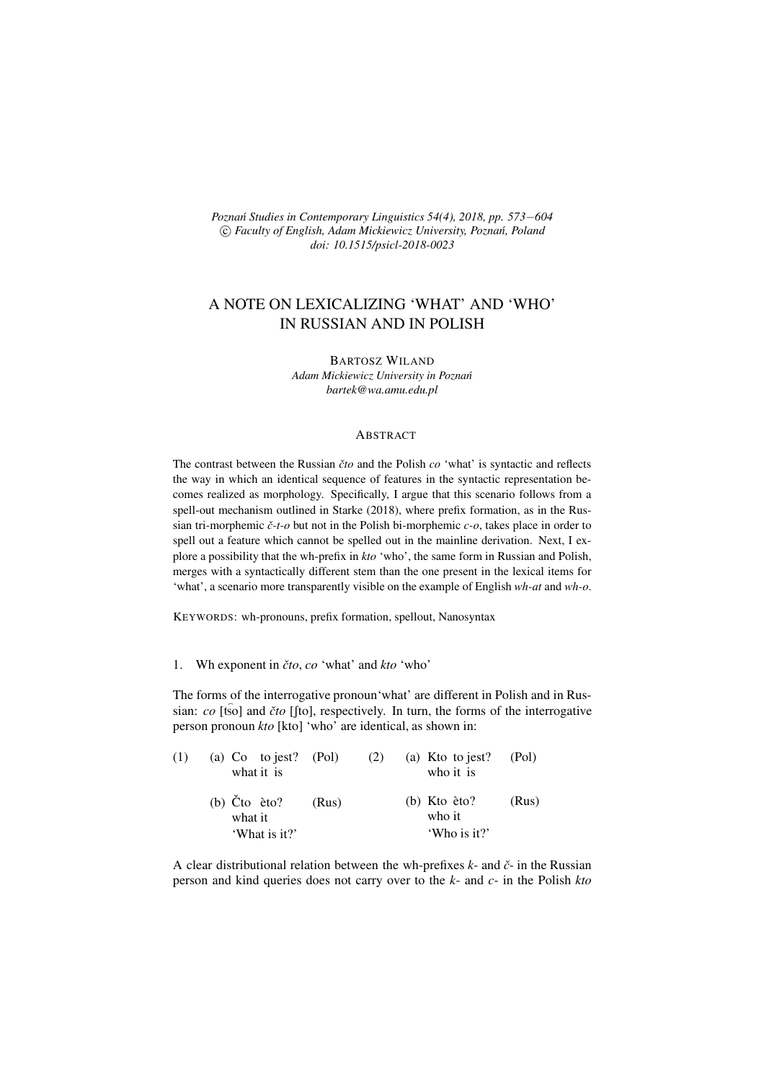*Poznań Studies in Contemporary Linguistics 54(4), 2018, pp. 573−604*  $\circled{c}$  *Faculty of English, Adam Mickiewicz University, Poznań, Poland doi: 10.1515/psicl-2018-0023*

# A NOTE ON LEXICALIZING 'WHAT' AND 'WHO' IN RUSSIAN AND IN POLISH

BARTOSZ WILAND *Adam Mickiewicz University in Pozna´n bartek@wa.amu.edu.pl*

### **ABSTRACT**

The contrast between the Russian *čto* and the Polish *co* 'what' is syntactic and reflects the way in which an identical sequence of features in the syntactic representation becomes realized as morphology. Specifically, I argue that this scenario follows from a spell-out mechanism outlined in Starke (2018), where prefix formation, as in the Russian tri-morphemic *ˇc-t-o* but not in the Polish bi-morphemic *c-o*, takes place in order to spell out a feature which cannot be spelled out in the mainline derivation. Next, I explore a possibility that the wh-prefix in *kto* 'who', the same form in Russian and Polish, merges with a syntactically different stem than the one present in the lexical items for 'what', a scenario more transparently visible on the example of English *wh-at* and *wh-o*.

KEYWORDS: wh-pronouns, prefix formation, spellout, Nanosyntax

1. Wh exponent in *ˇcto*, *co* 'what' and *kto* 'who'

The forms of the interrogative pronoun'what' are different in Polish and in Russian: *co* [tso] and *čto* [fto], respectively. In turn, the forms of the interrogative person pronoun *kto* [kto] 'who' are identical, as shown in:

| (1) | (a) $Co$ to jest? (Pol)<br>what it is      |       | (2) | (a) Kto to jest?<br>who it is       | (Pol) |  |
|-----|--------------------------------------------|-------|-----|-------------------------------------|-------|--|
|     | (b) $\text{C}$ to $\text{èto?}$<br>what it | (Rus) |     | $(b)$ Kto $\grave{e}$ to?<br>who it | (Rus) |  |
|     | 'What is it?'                              |       |     | 'Who is it?'                        |       |  |

A clear distributional relation between the wh-prefixes *k*- and *ˇc*- in the Russian person and kind queries does not carry over to the *k*- and *c*- in the Polish *kto*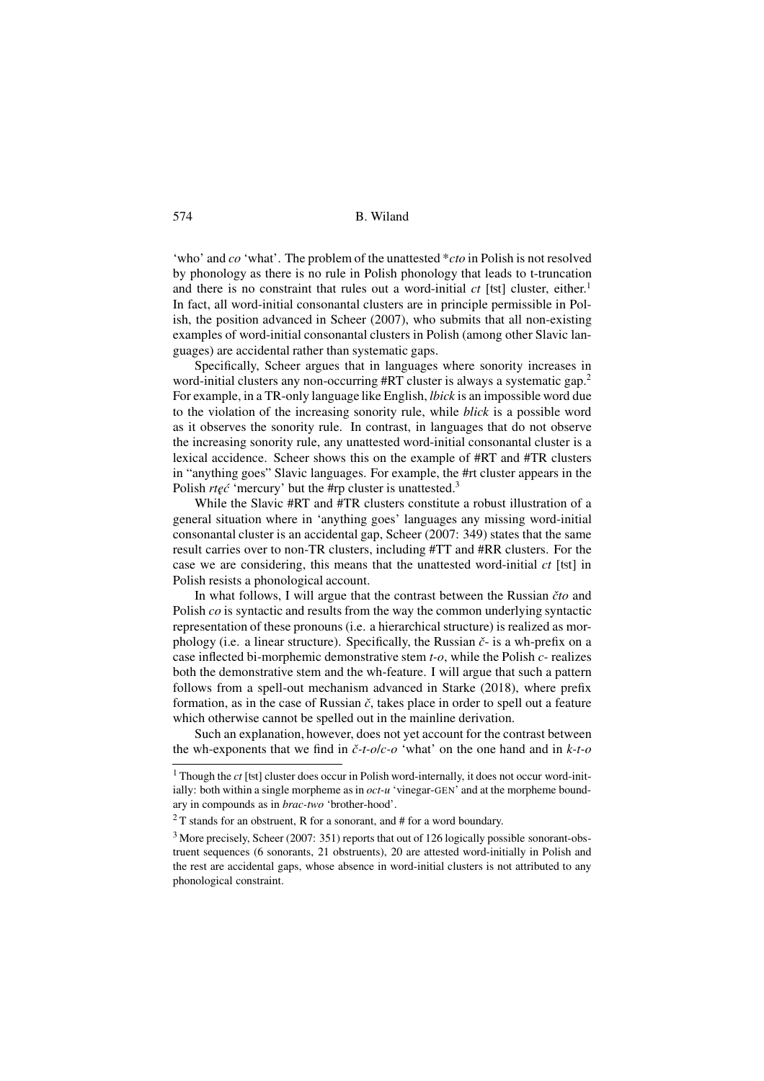'who' and *co* 'what'. The problem of the unattested \**cto* in Polish is not resolved by phonology as there is no rule in Polish phonology that leads to t-truncation and there is no constraint that rules out a word-initial  $ct$  [tst] cluster, either.<sup>1</sup> In fact, all word-initial consonantal clusters are in principle permissible in Polish, the position advanced in Scheer (2007), who submits that all non-existing examples of word-initial consonantal clusters in Polish (among other Slavic languages) are accidental rather than systematic gaps.

Specifically, Scheer argues that in languages where sonority increases in word-initial clusters any non-occurring #RT cluster is always a systematic gap.<sup>2</sup> For example, in a TR-only language like English, *lbick* is an impossible word due to the violation of the increasing sonority rule, while *blick* is a possible word as it observes the sonority rule. In contrast, in languages that do not observe the increasing sonority rule, any unattested word-initial consonantal cluster is a lexical accidence. Scheer shows this on the example of #RT and #TR clusters in "anything goes" Slavic languages. For example, the #rt cluster appears in the Polish *rteć* 'mercury' but the #rp cluster is unattested.<sup>3</sup>

While the Slavic #RT and #TR clusters constitute a robust illustration of a general situation where in 'anything goes' languages any missing word-initial consonantal cluster is an accidental gap, Scheer (2007: 349) states that the same result carries over to non-TR clusters, including #TT and #RR clusters. For the case we are considering, this means that the unattested word-initial *ct* [ţt] in Polish resists a phonological account.

In what follows, I will argue that the contrast between the Russian *ˇcto* and Polish *co* is syntactic and results from the way the common underlying syntactic representation of these pronouns (i.e. a hierarchical structure) is realized as morphology (i.e. a linear structure). Specifically, the Russian *ˇc*- is a wh-prefix on a case inflected bi-morphemic demonstrative stem *t-o*, while the Polish *c-* realizes both the demonstrative stem and the wh-feature. I will argue that such a pattern follows from a spell-out mechanism advanced in Starke (2018), where prefix formation, as in the case of Russian *ˇc*, takes place in order to spell out a feature which otherwise cannot be spelled out in the mainline derivation.

Such an explanation, however, does not yet account for the contrast between the wh-exponents that we find in *ˇc-t-o*/*c-o* 'what' on the one hand and in *k-t-o*

<sup>&</sup>lt;sup>1</sup> Though the *ct* [tst] cluster does occur in Polish word-internally, it does not occur word-initially: both within a single morpheme as in *oct-u* 'vinegar-GEN' and at the morpheme boundary in compounds as in *brac-two* 'brother-hood'.

 $2$ <sup>2</sup> T stands for an obstruent, R for a sonorant, and # for a word boundary.

<sup>3</sup> More precisely, Scheer (2007: 351) reports that out of 126 logically possible sonorant-obstruent sequences (6 sonorants, 21 obstruents), 20 are attested word-initially in Polish and the rest are accidental gaps, whose absence in word-initial clusters is not attributed to any phonological constraint.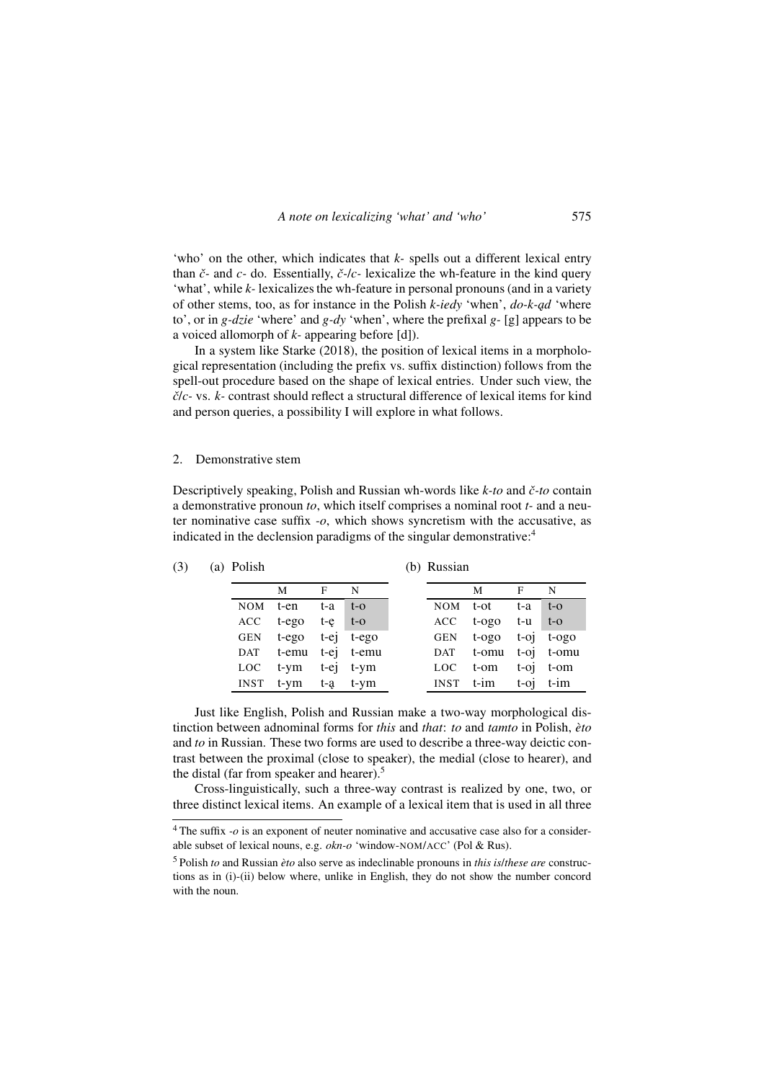'who' on the other, which indicates that *k-* spells out a different lexical entry than  $\check{c}$ - and  $\check{c}$ - do. Essentially,  $\check{c}$ - $\check{c}$ - lexicalize the wh-feature in the kind query 'what', while *k-* lexicalizes the wh-feature in personal pronouns (and in a variety of other stems, too, as for instance in the Polish *k-iedy* 'when', *do-k-ad* 'where to', or in *g-dzie* 'where' and *g-dy* 'when', where the prefixal *g-* [g] appears to be a voiced allomorph of *k-* appearing before [d]).

In a system like Starke (2018), the position of lexical items in a morphological representation (including the prefix vs. suffix distinction) follows from the spell-out procedure based on the shape of lexical entries. Under such view, the *ˇc*/*c-* vs. *k-* contrast should reflect a structural difference of lexical items for kind and person queries, a possibility I will explore in what follows.

### 2. Demonstrative stem

Descriptively speaking, Polish and Russian wh-words like *k-to* and *ˇc-to* contain a demonstrative pronoun *to*, which itself comprises a nominal root *t-* and a neuter nominative case suffix *-o*, which shows syncretism with the accusative, as indicated in the declension paradigms of the singular demonstrative:<sup>4</sup>

| (3) | (a) Polish  |                      |       |                 |  | (b) Russian |                      |         |                 |  |
|-----|-------------|----------------------|-------|-----------------|--|-------------|----------------------|---------|-----------------|--|
|     |             | М                    | F     | N               |  |             | М                    | F       | N               |  |
|     | NOM         | t-en                 | t-a   | $t-O$           |  | NOM         | t-ot                 | t-a     | $t-O$           |  |
|     | ACC         | t-ego                | $t-e$ | $t-O$           |  | ACC         | $t-0.00$             | t-u t-o |                 |  |
|     |             | GEN t-ego t-ej t-ego |       |                 |  |             | GEN t-ogo t-oj t-ogo |         |                 |  |
|     |             | DAT t-emu t-ej t-emu |       |                 |  |             | DAT t-omu t-oj t-omu |         |                 |  |
|     | LOC.        | t-ym                 |       | $t$ -ej $t$ -ym |  | LOC         | t-om                 |         | $t-oj$ $t-om$   |  |
|     | <b>INST</b> | t-ym t-a t-ym        |       |                 |  |             | INST t-im            |         | $t$ -oi $t$ -im |  |

(b) Russian

Just like English, Polish and Russian make a two-way morphological distinction between adnominal forms for *this* and *that*: *to* and *tamto* in Polish, *èto* and *to* in Russian. These two forms are used to describe a three-way deictic contrast between the proximal (close to speaker), the medial (close to hearer), and the distal (far from speaker and hearer).<sup>5</sup>

Cross-linguistically, such a three-way contrast is realized by one, two, or three distinct lexical items. An example of a lexical item that is used in all three

<sup>4</sup> The suffix *-o* is an exponent of neuter nominative and accusative case also for a considerable subset of lexical nouns, e.g. *okn-o* 'window-NOM/ACC' (Pol & Rus).

<sup>5</sup> Polish *to* and Russian *èto* also serve as indeclinable pronouns in *this is*/*these are* constructions as in (i)-(ii) below where, unlike in English, they do not show the number concord with the noun.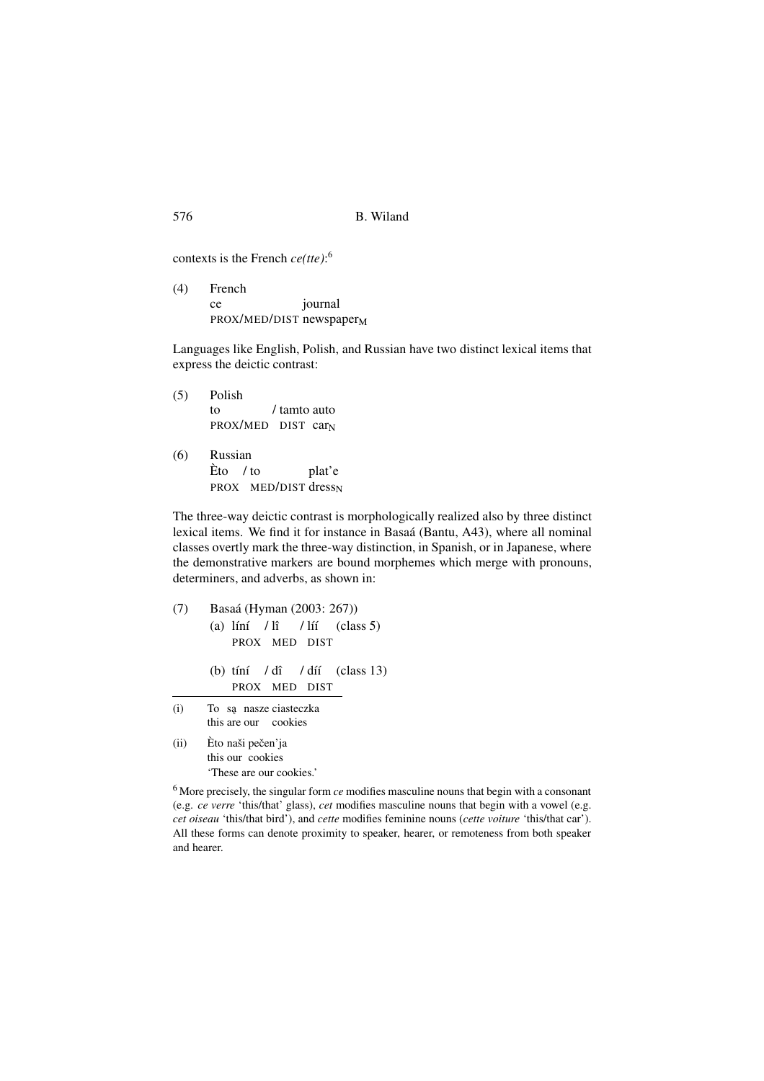| 576 | B. Wiland |
|-----|-----------|
|     |           |

contexts is the French *ce(tte)*: 6

(4) French ce PROX/MED/DIST newspaper<sub>M</sub> journal

Languages like English, Polish, and Russian have two distinct lexical items that express the deictic contrast:

(5) Polish to PROX/MED DIST car<sub>N</sub> / tamto auto (6) Russian Èto / to PROX MED/DIST dress<sub>N</sub> plat'e

The three-way deictic contrast is morphologically realized also by three distinct lexical items. We find it for instance in Basaá (Bantu, A43), where all nominal classes overtly mark the three-way distinction, in Spanish, or in Japanese, where the demonstrative markers are bound morphemes which merge with pronouns, determiners, and adverbs, as shown in:

(7) Basaá (Hyman (2003: 267))  $(a)$  líní / lî PROX MED DIST / líí (class 5) (b) tíní / dî PROX MED DIST / díí (class 13) (i) To są nasze ciasteczka this are our cookies (ii) Èto naši pečen'ja

this our cookies 'These are our cookies.'

<sup>6</sup> More precisely, the singular form *ce* modifies masculine nouns that begin with a consonant (e.g. *ce verre* 'this/that' glass), *cet* modifies masculine nouns that begin with a vowel (e.g. *cet oiseau* 'this/that bird'), and *cette* modifies feminine nouns (*cette voiture* 'this/that car'). All these forms can denote proximity to speaker, hearer, or remoteness from both speaker and hearer.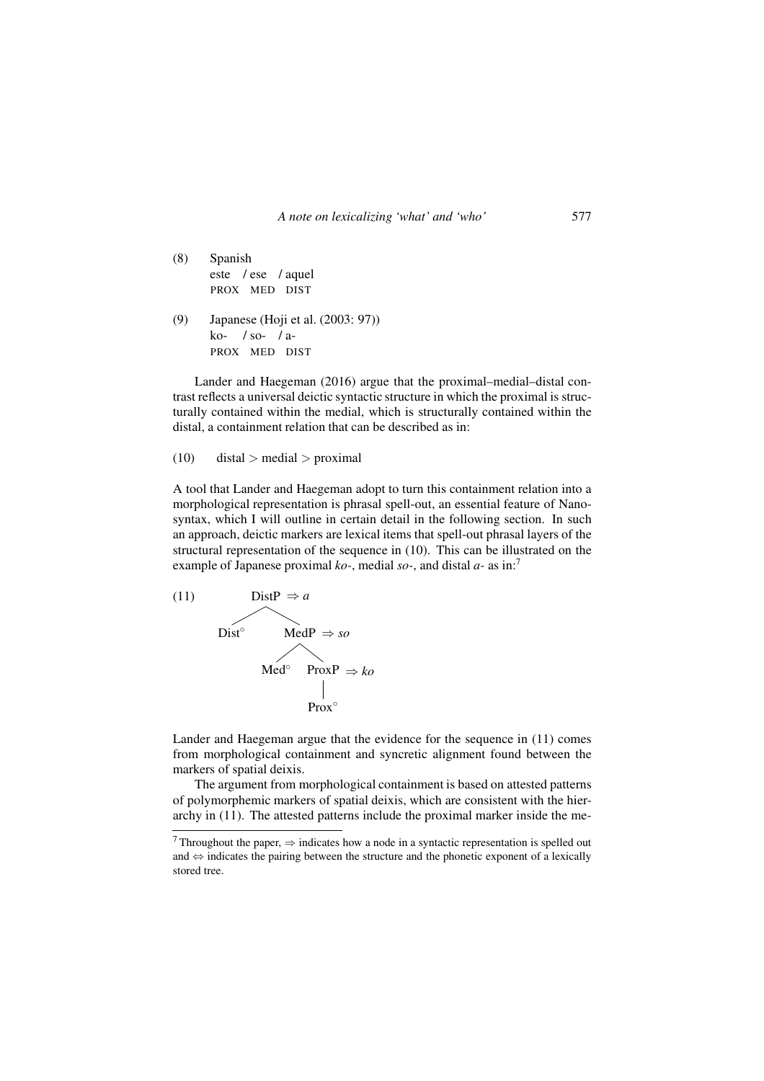- (8) Spanish este / ese / aquel PROX MED DIST
- (9) Japanese (Hoji et al. (2003: 97)) ko-/ so-/ a-PROX MED DIST

Lander and Haegeman (2016) argue that the proximal–medial–distal contrast reflects a universal deictic syntactic structure in which the proximal is structurally contained within the medial, which is structurally contained within the distal, a containment relation that can be described as in:

```
(10) distal > medial > proximal
```
A tool that Lander and Haegeman adopt to turn this containment relation into a morphological representation is phrasal spell-out, an essential feature of Nanosyntax, which I will outline in certain detail in the following section. In such an approach, deictic markers are lexical items that spell-out phrasal layers of the structural representation of the sequence in (10). This can be illustrated on the example of Japanese proximal *ko-*, medial *so-*, and distal *a-* as in:<sup>7</sup>



Lander and Haegeman argue that the evidence for the sequence in (11) comes from morphological containment and syncretic alignment found between the markers of spatial deixis.

The argument from morphological containment is based on attested patterns of polymorphemic markers of spatial deixis, which are consistent with the hierarchy in (11). The attested patterns include the proximal marker inside the me-

<sup>&</sup>lt;sup>7</sup> Throughout the paper,  $\Rightarrow$  indicates how a node in a syntactic representation is spelled out and ⇔ indicates the pairing between the structure and the phonetic exponent of a lexically stored tree.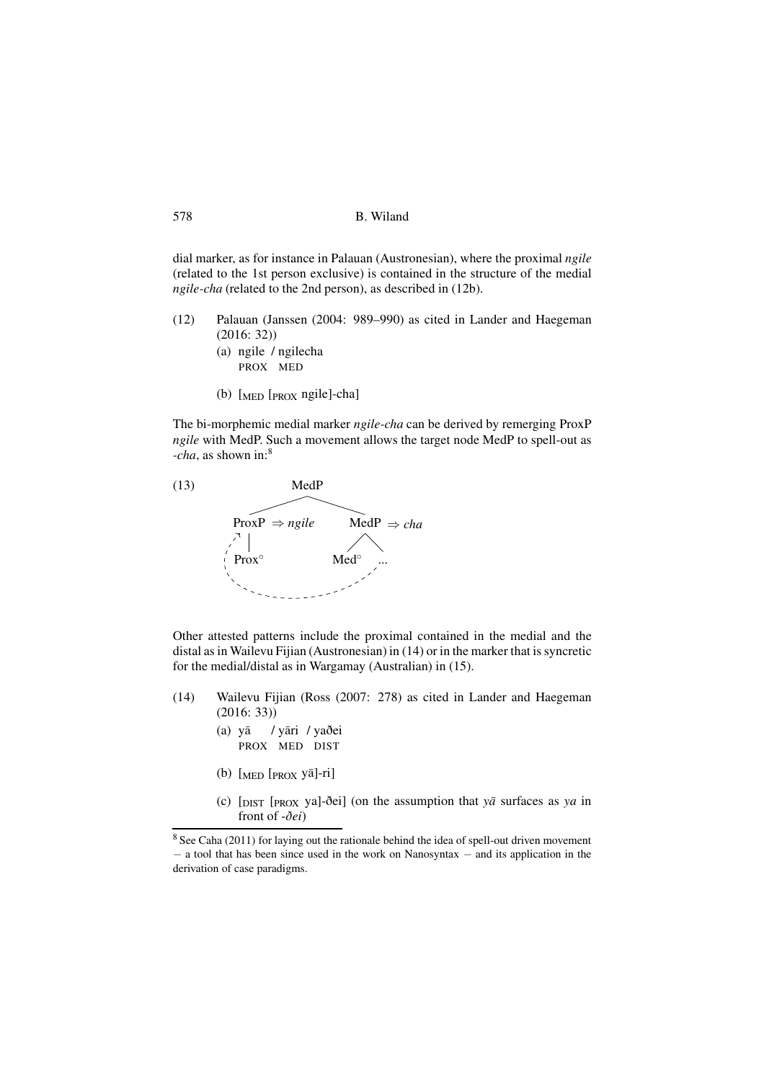dial marker, as for instance in Palauan (Austronesian), where the proximal *ngile* (related to the 1st person exclusive) is contained in the structure of the medial *ngile-cha* (related to the 2nd person), as described in (12b).

- (12) Palauan (Janssen (2004: 989–990) as cited in Lander and Haegeman (2016: 32))
	- (a) ngile / ngilecha PROX MED
	- (b) [MED [PROX ngile]-cha]

The bi-morphemic medial marker *ngile-cha* can be derived by remerging ProxP *ngile* with MedP. Such a movement allows the target node MedP to spell-out as *-cha*, as shown in:<sup>8</sup>



Other attested patterns include the proximal contained in the medial and the distal as in Wailevu Fijian (Austronesian) in (14) or in the marker that is syncretic for the medial/distal as in Wargamay (Australian) in (15).

- (14) Wailevu Fijian (Ross (2007: 278) as cited in Lander and Haegeman (2016: 33))
	- (a) yā / yāri / yaðei PROX MED DIST
	- (b)  $[\text{MED [PROX } Y\overline{a}]$ -ri]
	- (c) [DIST [PROX ya]-ðei] (on the assumption that *ya¯* surfaces as *ya* in front of -*ðei*)

<sup>8</sup> See Caha (2011) for laying out the rationale behind the idea of spell-out driven movement − a tool that has been since used in the work on Nanosyntax − and its application in the derivation of case paradigms.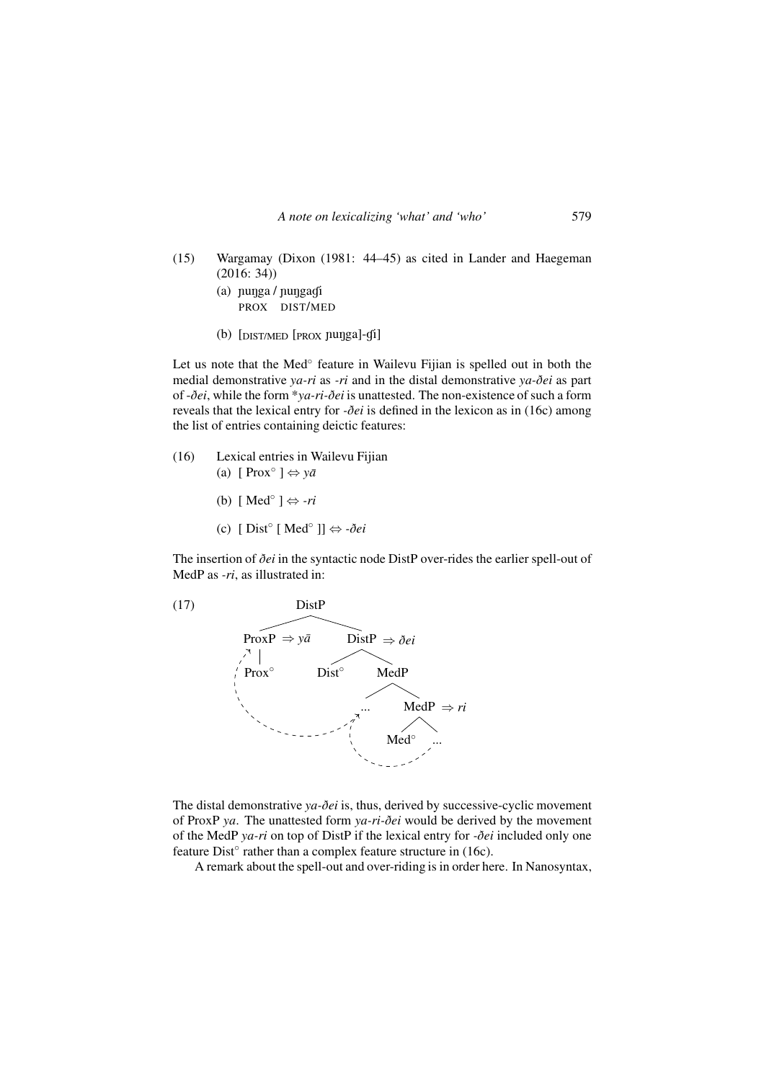- (15) Wargamay (Dixon (1981: 44–45) as cited in Lander and Haegeman (2016: 34))
	- (a) nunga / nungagi PROX DIST/MED
	- $(b)$  [DIST/MED [PROX nunga]-di]

Let us note that the Med<sup>°</sup> feature in Wailevu Fijian is spelled out in both the medial demonstrative *ya-ri* as *-ri* and in the distal demonstrative *ya-ðei* as part of -*ðei*, while the form \**ya-ri-ðei* is unattested. The non-existence of such a form reveals that the lexical entry for *-ðei* is defined in the lexicon as in (16c) among the list of entries containing deictic features:

- (16) Lexical entries in Wailevu Fijian (a) [ Prox◦ ] ⇔ *ya¯*
	- (b) [ Med◦ ] ⇔ *-ri*
	- (c) [ Dist◦ [ Med◦ ]] ⇔ *-ðei*

The insertion of *ðei* in the syntactic node DistP over-rides the earlier spell-out of MedP as *-ri*, as illustrated in:



The distal demonstrative *ya-ðei* is, thus, derived by successive-cyclic movement of ProxP *ya*. The unattested form *ya-ri-ðei* would be derived by the movement of the MedP *ya-ri* on top of DistP if the lexical entry for *-ðei* included only one feature Dist<sup>o</sup> rather than a complex feature structure in (16c).

A remark about the spell-out and over-riding is in order here. In Nanosyntax,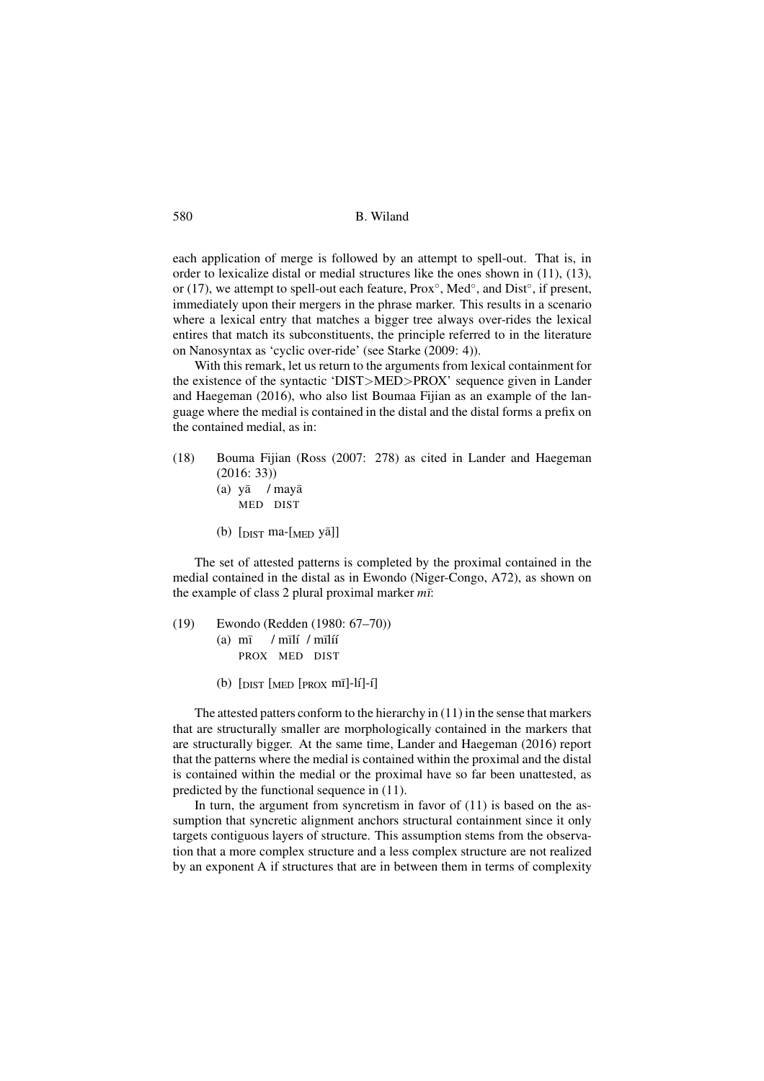each application of merge is followed by an attempt to spell-out. That is, in order to lexicalize distal or medial structures like the ones shown in (11), (13), or (17), we attempt to spell-out each feature, Prox<sup>°</sup>, Med<sup>°</sup>, and Dist<sup>°</sup>, if present, immediately upon their mergers in the phrase marker. This results in a scenario where a lexical entry that matches a bigger tree always over-rides the lexical entires that match its subconstituents, the principle referred to in the literature on Nanosyntax as 'cyclic over-ride' (see Starke (2009: 4)).

With this remark, let us return to the arguments from lexical containment for the existence of the syntactic 'DIST>MED>PROX' sequence given in Lander and Haegeman (2016), who also list Boumaa Fijian as an example of the language where the medial is contained in the distal and the distal forms a prefix on the contained medial, as in:

- (18) Bouma Fijian (Ross (2007: 278) as cited in Lander and Haegeman (2016: 33))
	- (a) yā / mayā MED DIST
	- (b)  $\lceil \text{dist} \rceil$  ma- $\lceil \text{MED} \rceil$

The set of attested patterns is completed by the proximal contained in the medial contained in the distal as in Ewondo (Niger-Congo, A72), as shown on the example of class 2 plural proximal marker  $m\bar{r}$ :

- (19) Ewondo (Redden (1980: 67–70))  $(a)$  m $\bar{i}$ PROX MED DIST / mīlí / mīlíí
	- (b)  $\lceil \text{DIST} \rceil$  [PROX  $m\bar{I}$ ]-lí]-i]

The attested patters conform to the hierarchy in (11) in the sense that markers that are structurally smaller are morphologically contained in the markers that are structurally bigger. At the same time, Lander and Haegeman (2016) report that the patterns where the medial is contained within the proximal and the distal is contained within the medial or the proximal have so far been unattested, as predicted by the functional sequence in (11).

In turn, the argument from syncretism in favor of (11) is based on the assumption that syncretic alignment anchors structural containment since it only targets contiguous layers of structure. This assumption stems from the observation that a more complex structure and a less complex structure are not realized by an exponent A if structures that are in between them in terms of complexity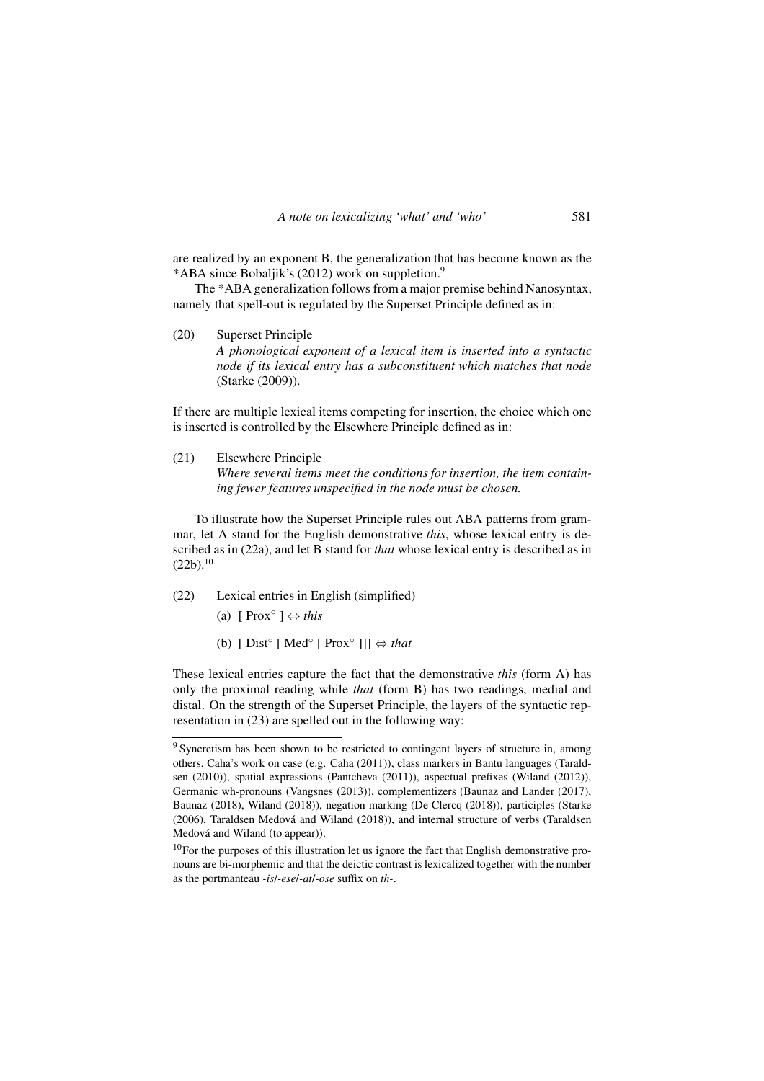are realized by an exponent B, the generalization that has become known as the \*ABA since Bobaljik's (2012) work on suppletion.<sup>9</sup>

The \*ABA generalization follows from a major premise behind Nanosyntax, namely that spell-out is regulated by the Superset Principle defined as in:

(20) Superset Principle *A phonological exponent of a lexical item is inserted into a syntactic node if its lexical entry has a subconstituent which matches that node* (Starke (2009)).

If there are multiple lexical items competing for insertion, the choice which one is inserted is controlled by the Elsewhere Principle defined as in:

(21) Elsewhere Principle

*Where several items meet the conditions for insertion, the item containing fewer features unspecified in the node must be chosen.*

To illustrate how the Superset Principle rules out ABA patterns from grammar, let A stand for the English demonstrative *this*, whose lexical entry is described as in (22a), and let B stand for *that* whose lexical entry is described as in  $(22b).<sup>10</sup>$ 

- (22) Lexical entries in English (simplified)
	- (a) [ Prox◦ ] ⇔ *this*
	- (b)  $[Dist<sup>○</sup> [ Med<sup>○</sup> [ Prox<sup>○</sup> ]]]$   $\Leftrightarrow that$

These lexical entries capture the fact that the demonstrative *this* (form A) has only the proximal reading while *that* (form B) has two readings, medial and distal. On the strength of the Superset Principle, the layers of the syntactic representation in (23) are spelled out in the following way:

<sup>&</sup>lt;sup>9</sup> Syncretism has been shown to be restricted to contingent layers of structure in, among others, Caha's work on case (e.g. Caha (2011)), class markers in Bantu languages (Taraldsen (2010)), spatial expressions (Pantcheva (2011)), aspectual prefixes (Wiland (2012)), Germanic wh-pronouns (Vangsnes (2013)), complementizers (Baunaz and Lander (2017), Baunaz (2018), Wiland (2018)), negation marking (De Clercq (2018)), participles (Starke (2006), Taraldsen Medová and Wiland (2018)), and internal structure of verbs (Taraldsen Medová and Wiland (to appear)).

<sup>&</sup>lt;sup>10</sup>For the purposes of this illustration let us ignore the fact that English demonstrative pronouns are bi-morphemic and that the deictic contrast is lexicalized together with the number as the portmanteau *-is*/*-ese*/*-at*/*-ose* suffix on *th-*.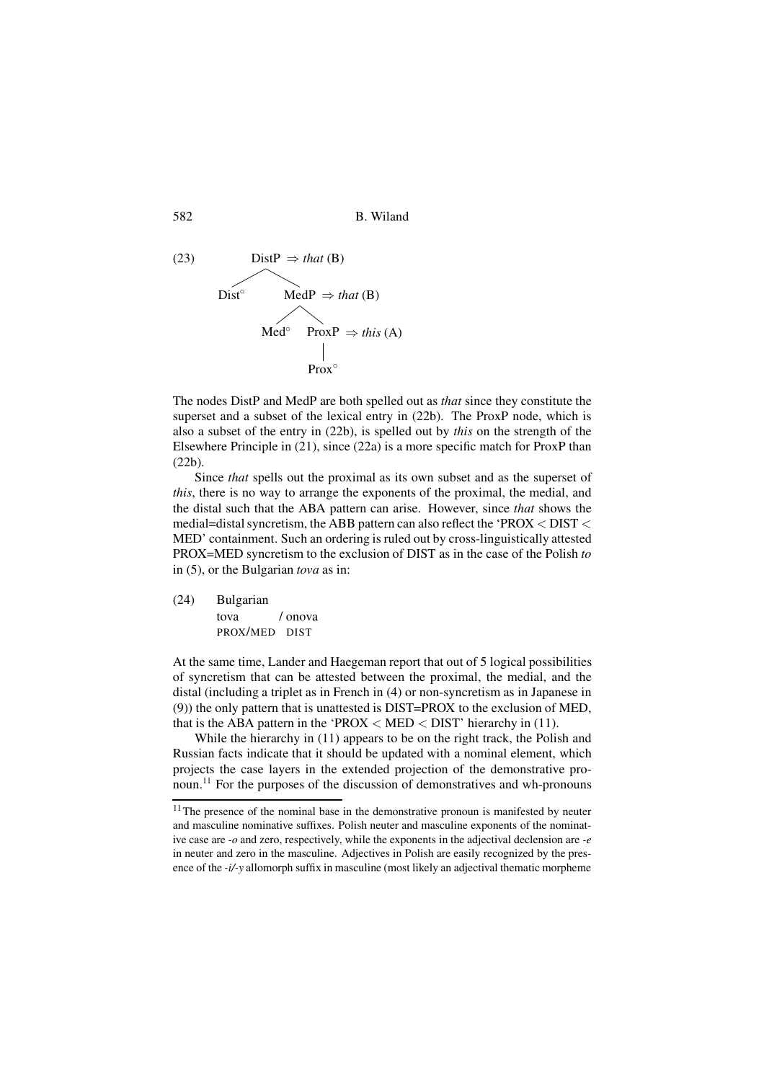582 B. Wiland



The nodes DistP and MedP are both spelled out as *that* since they constitute the superset and a subset of the lexical entry in (22b). The ProxP node, which is also a subset of the entry in (22b), is spelled out by *this* on the strength of the Elsewhere Principle in (21), since (22a) is a more specific match for ProxP than (22b).

Since *that* spells out the proximal as its own subset and as the superset of *this*, there is no way to arrange the exponents of the proximal, the medial, and the distal such that the ABA pattern can arise. However, since *that* shows the medial=distal syncretism, the ABB pattern can also reflect the 'PROX < DIST < MED' containment. Such an ordering is ruled out by cross-linguistically attested PROX=MED syncretism to the exclusion of DIST as in the case of the Polish *to* in (5), or the Bulgarian *tova* as in:

(24) Bulgarian tova PROX/MED DIST / onova

At the same time, Lander and Haegeman report that out of 5 logical possibilities of syncretism that can be attested between the proximal, the medial, and the distal (including a triplet as in French in (4) or non-syncretism as in Japanese in (9)) the only pattern that is unattested is DIST=PROX to the exclusion of MED, that is the ABA pattern in the 'PROX  $<$  MED  $<$  DIST' hierarchy in (11).

While the hierarchy in (11) appears to be on the right track, the Polish and Russian facts indicate that it should be updated with a nominal element, which projects the case layers in the extended projection of the demonstrative pronoun.<sup>11</sup> For the purposes of the discussion of demonstratives and wh-pronouns

<sup>&</sup>lt;sup>11</sup>The presence of the nominal base in the demonstrative pronoun is manifested by neuter and masculine nominative suffixes. Polish neuter and masculine exponents of the nominative case are *-o* and zero, respectively, while the exponents in the adjectival declension are *-e* in neuter and zero in the masculine. Adjectives in Polish are easily recognized by the presence of the *-i/-y* allomorph suffix in masculine (most likely an adjectival thematic morpheme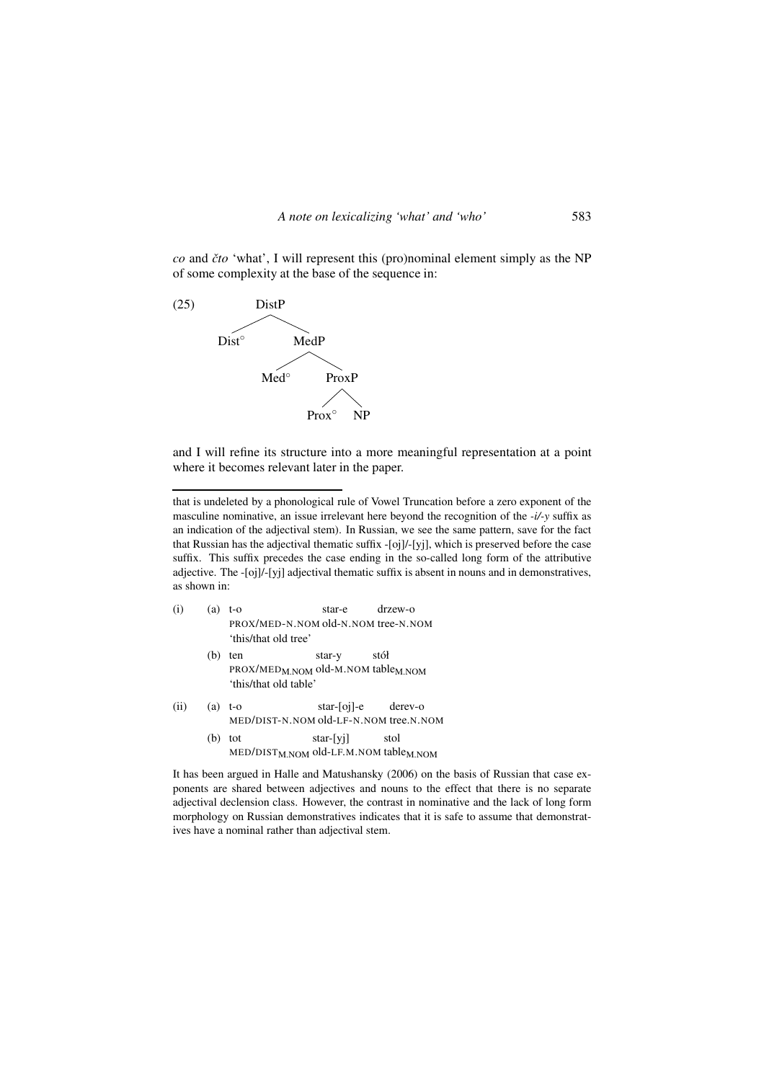*co* and *ˇcto* 'what', I will represent this (pro)nominal element simply as the NP of some complexity at the base of the sequence in:



and I will refine its structure into a more meaningful representation at a point where it becomes relevant later in the paper.

that is undeleted by a phonological rule of Vowel Truncation before a zero exponent of the masculine nominative, an issue irrelevant here beyond the recognition of the *-i/-y* suffix as an indication of the adjectival stem). In Russian, we see the same pattern, save for the fact that Russian has the adjectival thematic suffix -[oj]/-[yj], which is preserved before the case suffix. This suffix precedes the case ending in the so-called long form of the attributive adjective. The -[oj]/-[yj] adjectival thematic suffix is absent in nouns and in demonstratives, as shown in:

| (i)  | (a) | t-o<br>PROX/MED-N.NOM old-N.NOM tree-N.NOM<br>'this/that old tree'                         | star-e       | $drzew-o$              |
|------|-----|--------------------------------------------------------------------------------------------|--------------|------------------------|
|      | (b) | ten<br>PROX/MED <sub>M</sub> NOM old-M.NOM table <sub>M</sub> NOM<br>'this/that old table' | star-y       | stół                   |
| (ii) |     | $(a)$ t-o<br>MED/DIST-N.NOM old-LF-N.NOM tree.N.NOM                                        |              | $star$ -[oj]-e derev-o |
|      |     | tot                                                                                        | $star$ -[yi] | stol                   |

MED/DIST<sub>M.NOM</sub> old-LF.M.NOM table<sub>M.NOM</sub>

It has been argued in Halle and Matushansky (2006) on the basis of Russian that case exponents are shared between adjectives and nouns to the effect that there is no separate adjectival declension class. However, the contrast in nominative and the lack of long form morphology on Russian demonstratives indicates that it is safe to assume that demonstratives have a nominal rather than adjectival stem.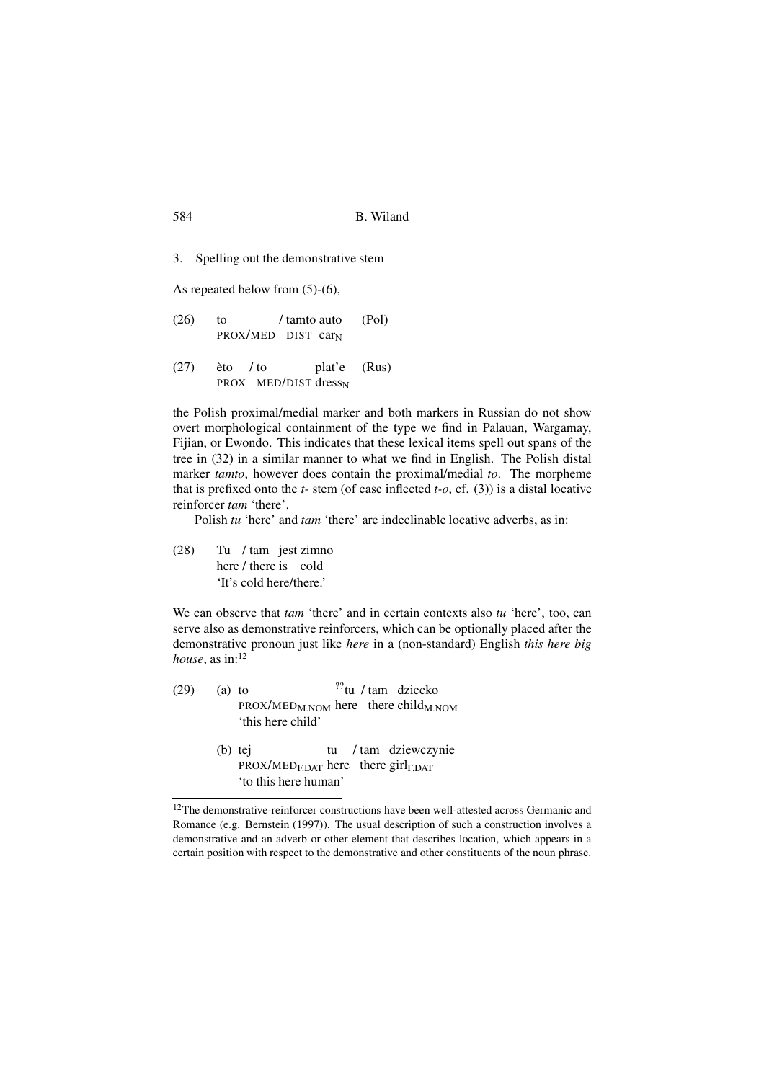3. Spelling out the demonstrative stem

As repeated below from (5)-(6),

 $(26)$  to PROX/MED DIST car<sub>N</sub> / tamto auto (Pol)  $(27)$ PROX MED/DIST dress<sub>N</sub>  $\text{èto}$  / to plat'e (Rus)

the Polish proximal/medial marker and both markers in Russian do not show overt morphological containment of the type we find in Palauan, Wargamay, Fijian, or Ewondo. This indicates that these lexical items spell out spans of the tree in (32) in a similar manner to what we find in English. The Polish distal marker *tamto*, however does contain the proximal/medial *to*. The morpheme that is prefixed onto the *t-* stem (of case inflected *t-o*, cf. (3)) is a distal locative reinforcer *tam* 'there'.

Polish *tu* 'here' and *tam* 'there' are indeclinable locative adverbs, as in:

 $(28)$ here / there is cold / tam jest zimno 'It's cold here/there.'

We can observe that *tam* 'there' and in certain contexts also *tu* 'here', too, can serve also as demonstrative reinforcers, which can be optionally placed after the demonstrative pronoun just like *here* in a (non-standard) English *this here big house*, as  $in:$ <sup>12</sup>

| (29) | $(a)$ to      |                                                      |  | $^{22}$ tu / tam dziecko |  |
|------|---------------|------------------------------------------------------|--|--------------------------|--|
|      |               | $PROX/MED_{M,NOM}$ here there child <sub>M.NOM</sub> |  |                          |  |
|      |               | 'this here child'                                    |  |                          |  |
|      | $\sim$ $\sim$ |                                                      |  |                          |  |

(b) tej PROX/MED<sub>F.DAT</sub> here there girl<sub>F.DAT</sub> tu / tam dziewczynie 'to this here human'

<sup>&</sup>lt;sup>12</sup>The demonstrative-reinforcer constructions have been well-attested across Germanic and Romance (e.g. Bernstein (1997)). The usual description of such a construction involves a demonstrative and an adverb or other element that describes location, which appears in a certain position with respect to the demonstrative and other constituents of the noun phrase.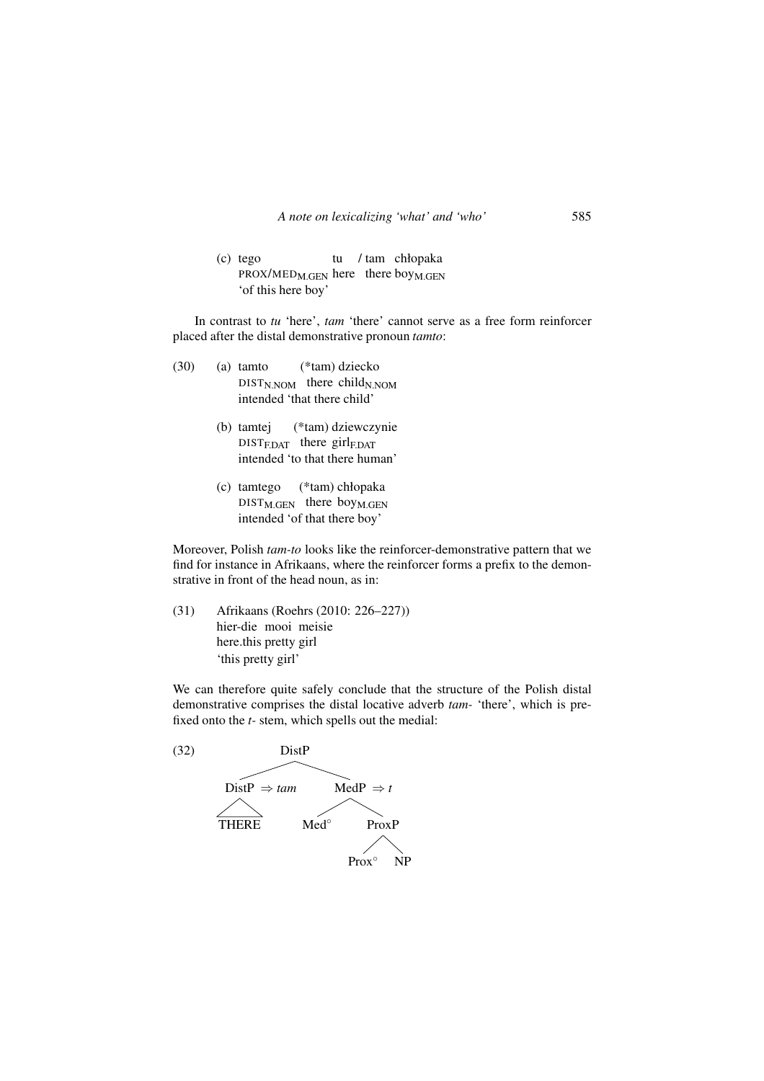(c) tego PROX/MED<sub>M.GEN</sub> here there boy<sub>M.GEN</sub> tu / tam chłopaka 'of this here boy'

In contrast to *tu* 'here', *tam* 'there' cannot serve as a free form reinforcer placed after the distal demonstrative pronoun *tamto*:

- (30) (a) tamto (\*tam) dziecko DIST<sub>N.NOM</sub> there child<sub>N.NOM</sub> intended 'that there child'
	- (b) tamtej (\*tam) dziewczynie DIST<sub>F.DAT</sub> there girl<sub>F.DAT</sub> intended 'to that there human'
	- (c) tamtego (\*tam) chłopaka  $DIST_{M.GEN}$  there boy<sub>M.GEN</sub> intended 'of that there boy'

Moreover, Polish *tam-to* looks like the reinforcer-demonstrative pattern that we find for instance in Afrikaans, where the reinforcer forms a prefix to the demonstrative in front of the head noun, as in:

(31) Afrikaans (Roehrs (2010: 226–227)) hier-die mooi meisie here.this pretty girl 'this pretty girl'

We can therefore quite safely conclude that the structure of the Polish distal demonstrative comprises the distal locative adverb *tam-* 'there', which is prefixed onto the *t-* stem, which spells out the medial:

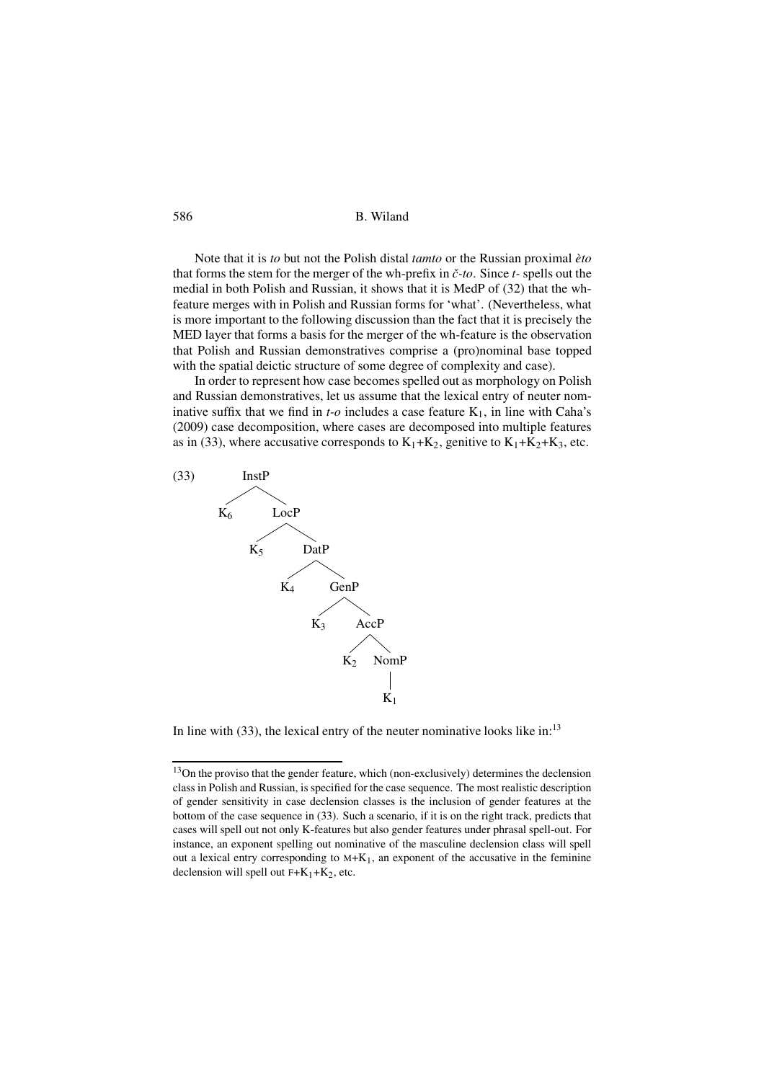#### 586 B. Wiland

Note that it is *to* but not the Polish distal *tamto* or the Russian proximal *èto* that forms the stem for the merger of the wh-prefix in *ˇc-to*. Since *t-* spells out the medial in both Polish and Russian, it shows that it is MedP of (32) that the whfeature merges with in Polish and Russian forms for 'what'. (Nevertheless, what is more important to the following discussion than the fact that it is precisely the MED layer that forms a basis for the merger of the wh-feature is the observation that Polish and Russian demonstratives comprise a (pro)nominal base topped with the spatial deictic structure of some degree of complexity and case).

In order to represent how case becomes spelled out as morphology on Polish and Russian demonstratives, let us assume that the lexical entry of neuter nominative suffix that we find in  $t$ - $o$  includes a case feature  $K_1$ , in line with Caha's (2009) case decomposition, where cases are decomposed into multiple features as in (33), where accusative corresponds to  $K_1+K_2$ , genitive to  $K_1+K_2+K_3$ , etc.



In line with  $(33)$ , the lexical entry of the neuter nominative looks like in:<sup>13</sup>

<sup>&</sup>lt;sup>13</sup>On the proviso that the gender feature, which (non-exclusively) determines the declension class in Polish and Russian, is specified for the case sequence. The most realistic description of gender sensitivity in case declension classes is the inclusion of gender features at the bottom of the case sequence in (33). Such a scenario, if it is on the right track, predicts that cases will spell out not only K-features but also gender features under phrasal spell-out. For instance, an exponent spelling out nominative of the masculine declension class will spell out a lexical entry corresponding to  $M+K_1$ , an exponent of the accusative in the feminine declension will spell out  $F+K_1+K_2$ , etc.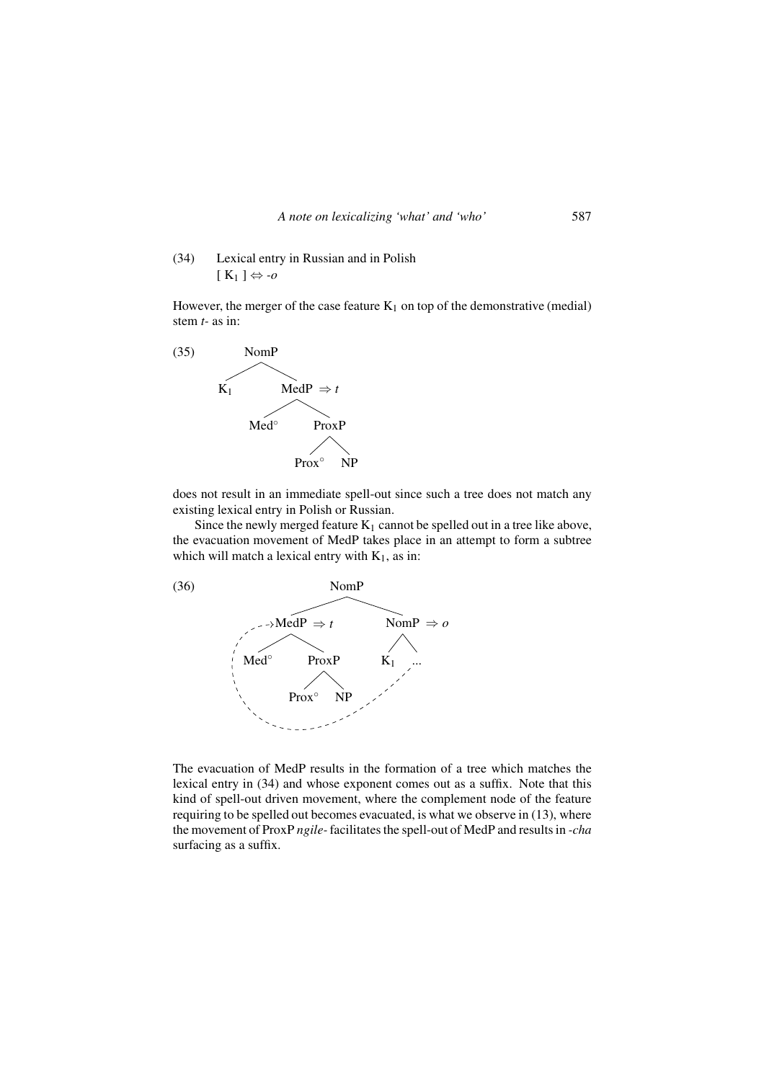(34) Lexical entry in Russian and in Polish  $[K_1] \Leftrightarrow -\rho$ 

However, the merger of the case feature  $K_1$  on top of the demonstrative (medial) stem *t-* as in:



does not result in an immediate spell-out since such a tree does not match any existing lexical entry in Polish or Russian.

Since the newly merged feature  $K_1$  cannot be spelled out in a tree like above, the evacuation movement of MedP takes place in an attempt to form a subtree which will match a lexical entry with  $K_1$ , as in:



The evacuation of MedP results in the formation of a tree which matches the lexical entry in (34) and whose exponent comes out as a suffix. Note that this kind of spell-out driven movement, where the complement node of the feature requiring to be spelled out becomes evacuated, is what we observe in (13), where the movement of ProxP *ngile-*facilitates the spell-out of MedP and results in *-cha* surfacing as a suffix.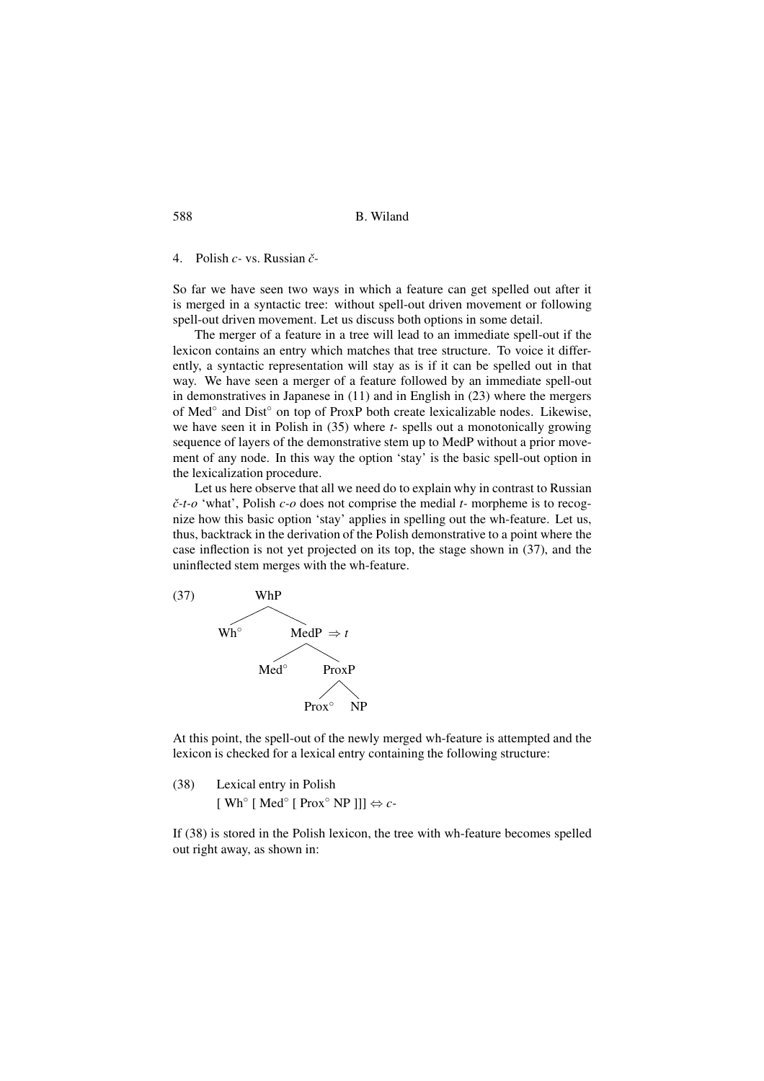4. Polish *c-* vs. Russian *ˇc-*

So far we have seen two ways in which a feature can get spelled out after it is merged in a syntactic tree: without spell-out driven movement or following spell-out driven movement. Let us discuss both options in some detail.

The merger of a feature in a tree will lead to an immediate spell-out if the lexicon contains an entry which matches that tree structure. To voice it differently, a syntactic representation will stay as is if it can be spelled out in that way. We have seen a merger of a feature followed by an immediate spell-out in demonstratives in Japanese in (11) and in English in (23) where the mergers of Med<sup>°</sup> and Dist<sup>°</sup> on top of ProxP both create lexicalizable nodes. Likewise, we have seen it in Polish in (35) where *t-* spells out a monotonically growing sequence of layers of the demonstrative stem up to MedP without a prior movement of any node. In this way the option 'stay' is the basic spell-out option in the lexicalization procedure.

Let us here observe that all we need do to explain why in contrast to Russian *ˇc-t-o* 'what', Polish *c-o* does not comprise the medial *t-* morpheme is to recognize how this basic option 'stay' applies in spelling out the wh-feature. Let us, thus, backtrack in the derivation of the Polish demonstrative to a point where the case inflection is not yet projected on its top, the stage shown in (37), and the uninflected stem merges with the wh-feature.



At this point, the spell-out of the newly merged wh-feature is attempted and the lexicon is checked for a lexical entry containing the following structure:

(38) Lexical entry in Polish  $[Wh^{\circ} [Med^{\circ} [Prox^{\circ} NP]]] \Leftrightarrow c$ 

If (38) is stored in the Polish lexicon, the tree with wh-feature becomes spelled out right away, as shown in: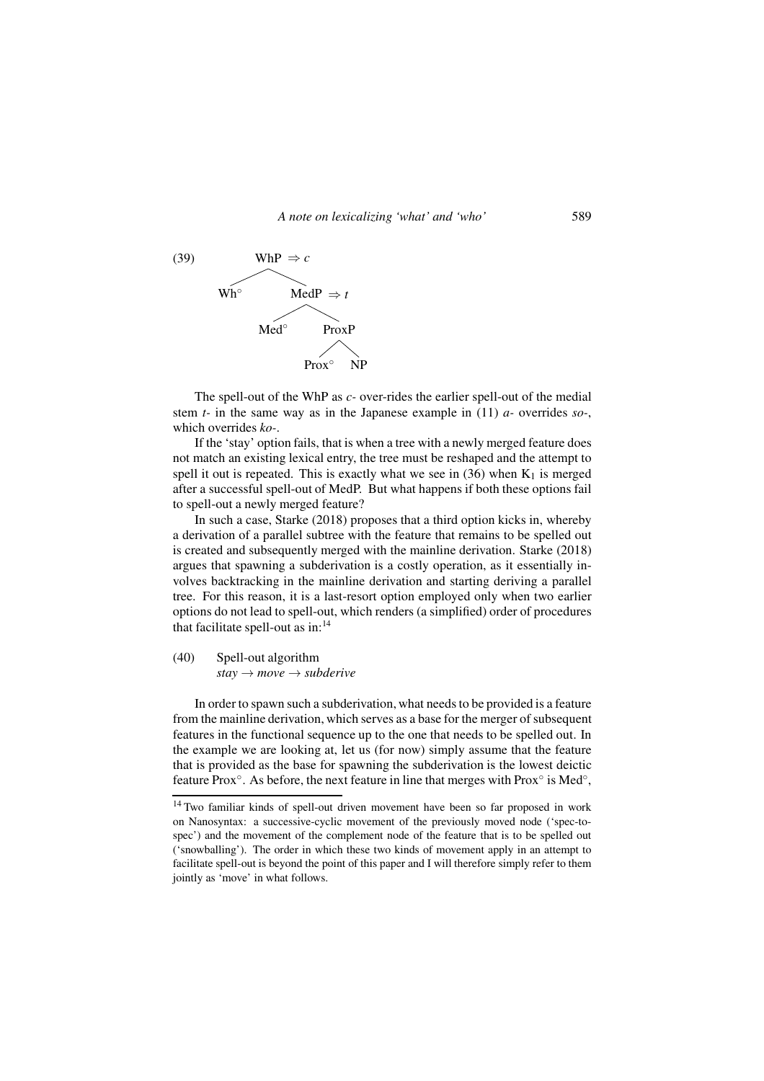

The spell-out of the WhP as *c-* over-rides the earlier spell-out of the medial stem *t-* in the same way as in the Japanese example in (11) *a-* overrides *so-*, which overrides *ko-*.

If the 'stay' option fails, that is when a tree with a newly merged feature does not match an existing lexical entry, the tree must be reshaped and the attempt to spell it out is repeated. This is exactly what we see in  $(36)$  when K<sub>1</sub> is merged after a successful spell-out of MedP. But what happens if both these options fail to spell-out a newly merged feature?

In such a case, Starke (2018) proposes that a third option kicks in, whereby a derivation of a parallel subtree with the feature that remains to be spelled out is created and subsequently merged with the mainline derivation. Starke (2018) argues that spawning a subderivation is a costly operation, as it essentially involves backtracking in the mainline derivation and starting deriving a parallel tree. For this reason, it is a last-resort option employed only when two earlier options do not lead to spell-out, which renders (a simplified) order of procedures that facilitate spell-out as  $in$ :<sup>14</sup>

(40) Spell-out algorithm *stay* → *move* → *subderive*

In order to spawn such a subderivation, what needs to be provided is a feature from the mainline derivation, which serves as a base for the merger of subsequent features in the functional sequence up to the one that needs to be spelled out. In the example we are looking at, let us (for now) simply assume that the feature that is provided as the base for spawning the subderivation is the lowest deictic feature Prox°. As before, the next feature in line that merges with Prox° is Med°,

<sup>14</sup> Two familiar kinds of spell-out driven movement have been so far proposed in work on Nanosyntax: a successive-cyclic movement of the previously moved node ('spec-tospec') and the movement of the complement node of the feature that is to be spelled out ('snowballing'). The order in which these two kinds of movement apply in an attempt to facilitate spell-out is beyond the point of this paper and I will therefore simply refer to them jointly as 'move' in what follows.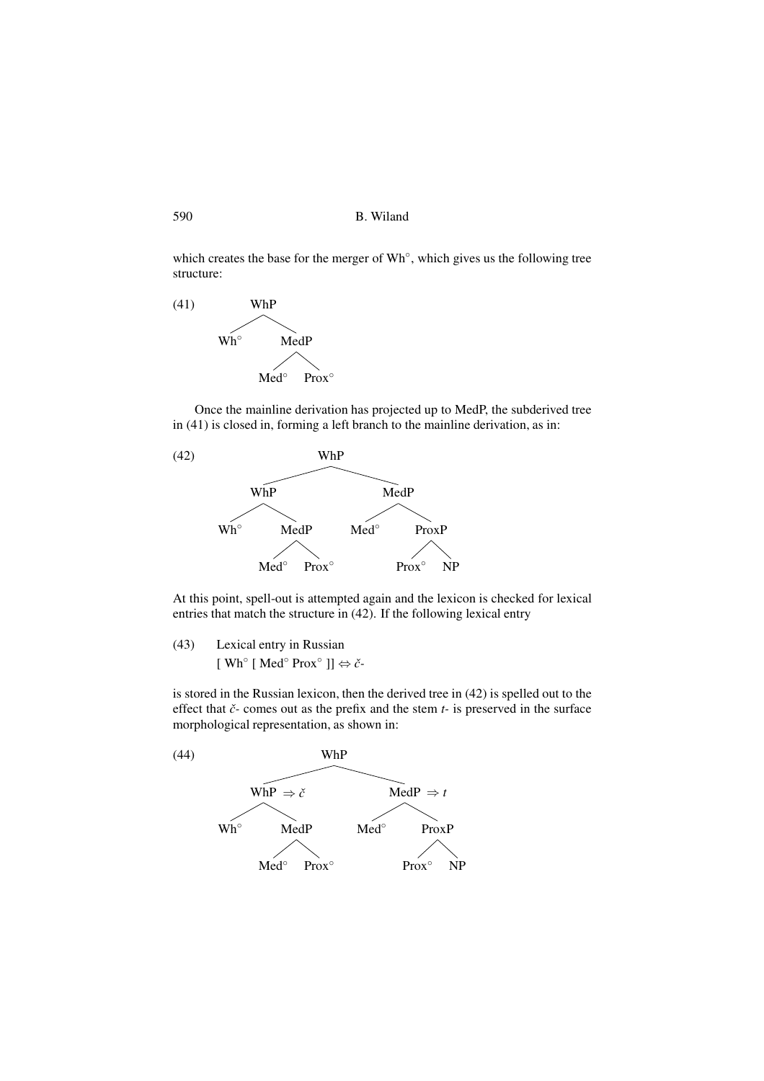590 B. Wiland

which creates the base for the merger of Wh°, which gives us the following tree structure:

(41) WhP Wh◦ MedP Med<sup>∘</sup> Prox<sup>°</sup>

Once the mainline derivation has projected up to MedP, the subderived tree in (41) is closed in, forming a left branch to the mainline derivation, as in:



At this point, spell-out is attempted again and the lexicon is checked for lexical entries that match the structure in (42). If the following lexical entry

(43) Lexical entry in Russian [ Wh◦ [ Med◦ Prox◦ ]] ⇔ *ˇc-*

is stored in the Russian lexicon, then the derived tree in (42) is spelled out to the effect that *ˇc-* comes out as the prefix and the stem *t-* is preserved in the surface morphological representation, as shown in:

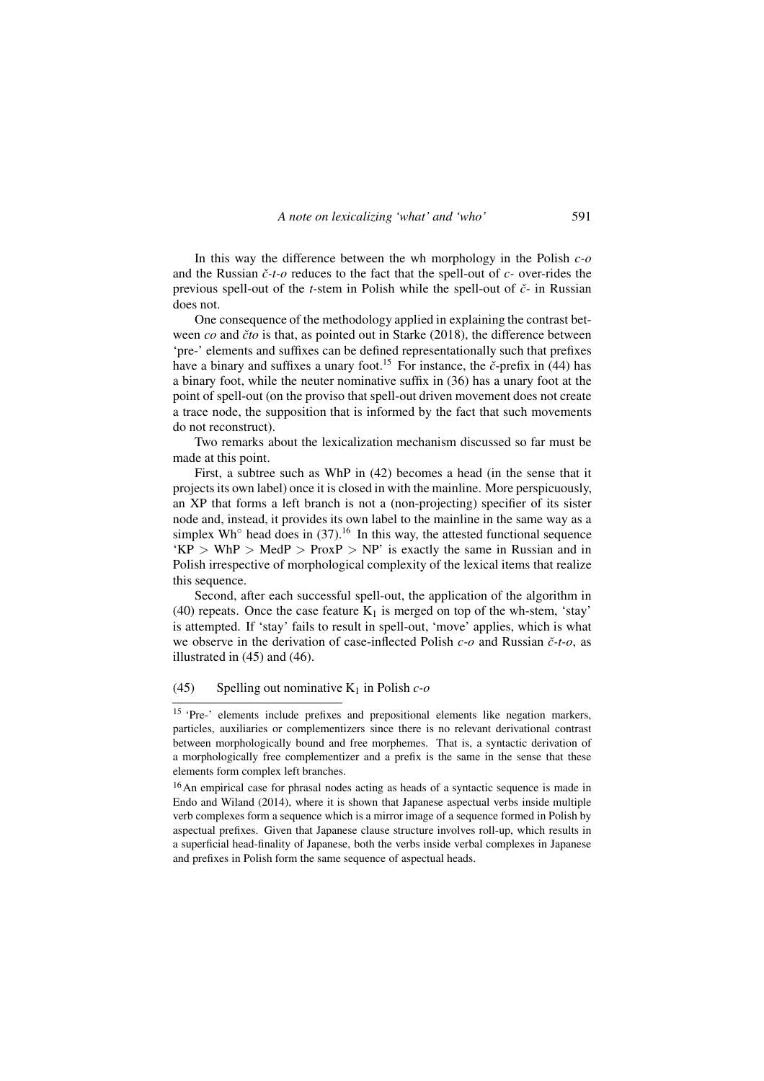In this way the difference between the wh morphology in the Polish *c-o* and the Russian *ˇc-t-o* reduces to the fact that the spell-out of *c-* over-rides the previous spell-out of the *t-*stem in Polish while the spell-out of *ˇc-* in Russian does not.

One consequence of the methodology applied in explaining the contrast between *co* and *ˇcto* is that, as pointed out in Starke (2018), the difference between 'pre-' elements and suffixes can be defined representationally such that prefixes have a binary and suffixes a unary foot.<sup>15</sup> For instance, the *č*-prefix in (44) has a binary foot, while the neuter nominative suffix in (36) has a unary foot at the point of spell-out (on the proviso that spell-out driven movement does not create a trace node, the supposition that is informed by the fact that such movements do not reconstruct).

Two remarks about the lexicalization mechanism discussed so far must be made at this point.

First, a subtree such as WhP in (42) becomes a head (in the sense that it projects its own label) once it is closed in with the mainline. More perspicuously, an XP that forms a left branch is not a (non-projecting) specifier of its sister node and, instead, it provides its own label to the mainline in the same way as a simplex Wh $\degree$  head does in (37).<sup>16</sup> In this way, the attested functional sequence  $'KP > WhP > MedP > ProxP > NP'$  is exactly the same in Russian and in Polish irrespective of morphological complexity of the lexical items that realize this sequence.

Second, after each successful spell-out, the application of the algorithm in (40) repeats. Once the case feature  $K_1$  is merged on top of the wh-stem, 'stay' is attempted. If 'stay' fails to result in spell-out, 'move' applies, which is what we observe in the derivation of case-inflected Polish *c-o* and Russian *ˇc-t-o*, as illustrated in (45) and (46).

## (45) Spelling out nominative  $K_1$  in Polish  $c$ -o

<sup>&</sup>lt;sup>15</sup> 'Pre-' elements include prefixes and prepositional elements like negation markers, particles, auxiliaries or complementizers since there is no relevant derivational contrast between morphologically bound and free morphemes. That is, a syntactic derivation of a morphologically free complementizer and a prefix is the same in the sense that these elements form complex left branches.

<sup>&</sup>lt;sup>16</sup>An empirical case for phrasal nodes acting as heads of a syntactic sequence is made in Endo and Wiland (2014), where it is shown that Japanese aspectual verbs inside multiple verb complexes form a sequence which is a mirror image of a sequence formed in Polish by aspectual prefixes. Given that Japanese clause structure involves roll-up, which results in a superficial head-finality of Japanese, both the verbs inside verbal complexes in Japanese and prefixes in Polish form the same sequence of aspectual heads.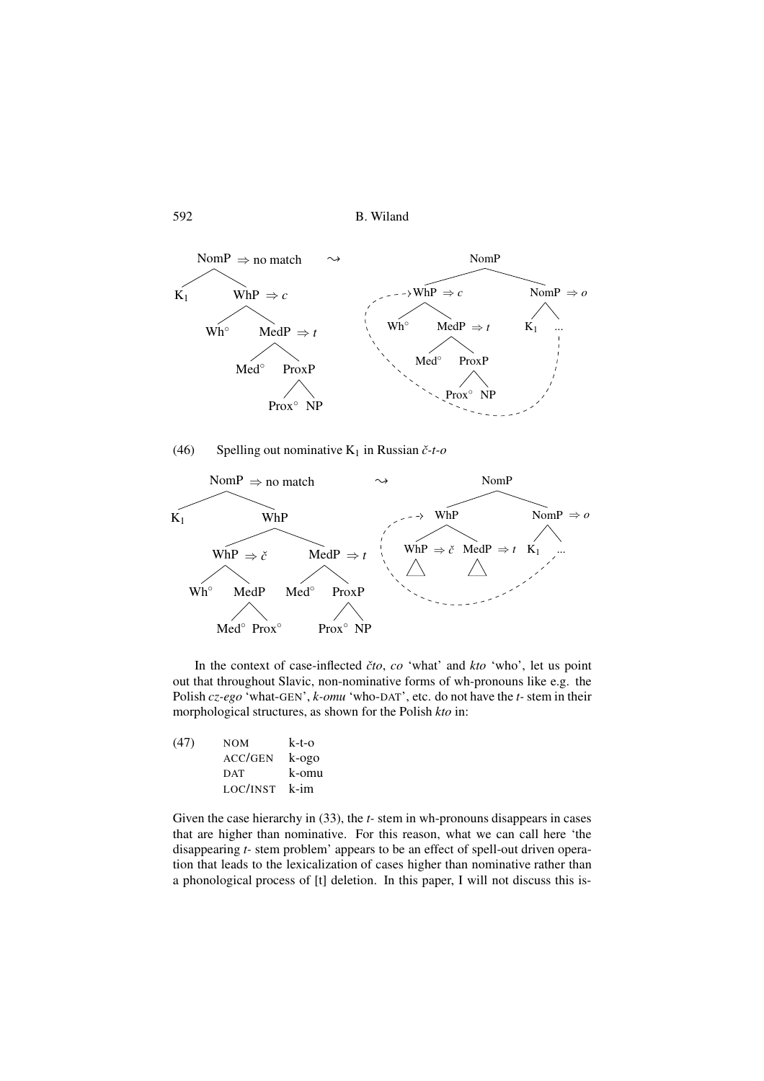592 B. Wiland



(46) Spelling out nominative  $K_1$  in Russian  $\check{c}$ -t-o



In the context of case-inflected *ˇcto*, *co* 'what' and *kto* 'who', let us point out that throughout Slavic, non-nominative forms of wh-pronouns like e.g. the Polish *cz-ego* 'what-GEN', *k-omu* 'who-DAT', etc. do not have the *t-* stem in their morphological structures, as shown for the Polish *kto* in:

| (47) | <b>NOM</b> | k-t-o |
|------|------------|-------|
|      | ACC/GEN    | k-ogo |
|      | <b>DAT</b> | k-omu |
|      | LOC/INST   | k-im  |

Given the case hierarchy in (33), the *t*- stem in wh-pronouns disappears in cases that are higher than nominative. For this reason, what we can call here 'the disappearing *t-* stem problem' appears to be an effect of spell-out driven operation that leads to the lexicalization of cases higher than nominative rather than a phonological process of [t] deletion. In this paper, I will not discuss this is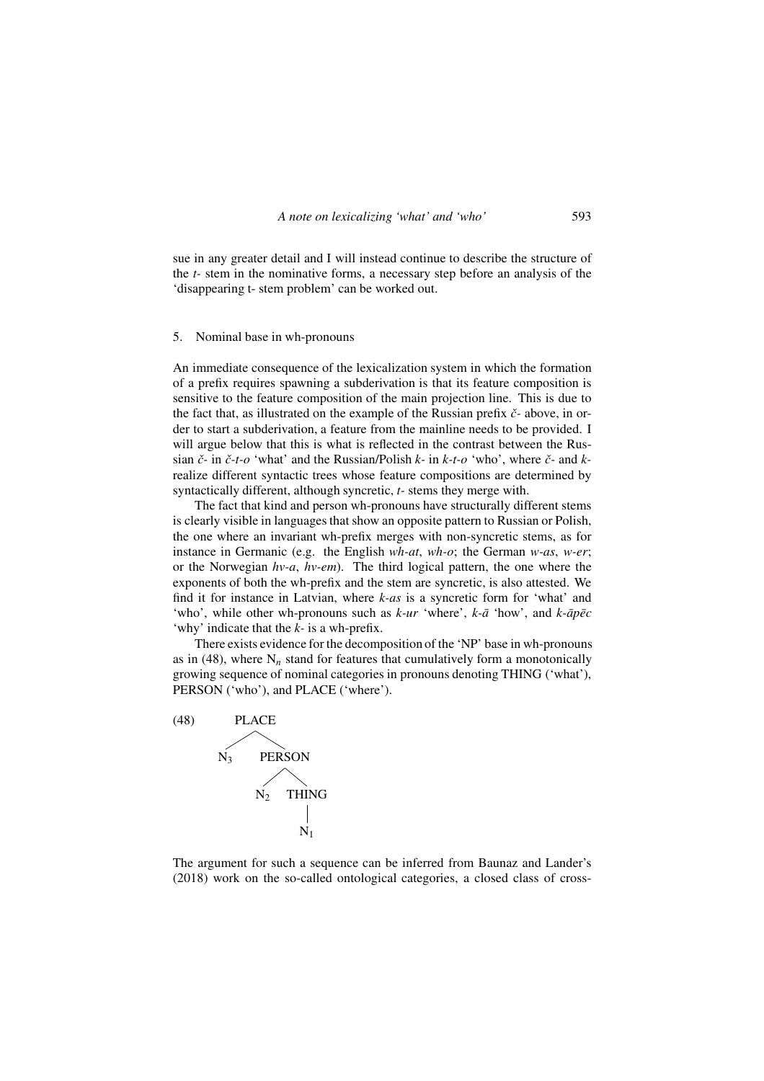sue in any greater detail and I will instead continue to describe the structure of the *t-* stem in the nominative forms, a necessary step before an analysis of the 'disappearing t- stem problem' can be worked out.

## 5. Nominal base in wh-pronouns

An immediate consequence of the lexicalization system in which the formation of a prefix requires spawning a subderivation is that its feature composition is sensitive to the feature composition of the main projection line. This is due to the fact that, as illustrated on the example of the Russian prefix *ˇc-* above, in order to start a subderivation, a feature from the mainline needs to be provided. I will argue below that this is what is reflected in the contrast between the Russian *ˇc-* in *ˇc-t-o* 'what' and the Russian/Polish *k-* in *k-t-o* 'who', where *ˇc-* and *k*realize different syntactic trees whose feature compositions are determined by syntactically different, although syncretic, *t-* stems they merge with.

The fact that kind and person wh-pronouns have structurally different stems is clearly visible in languages that show an opposite pattern to Russian or Polish, the one where an invariant wh-prefix merges with non-syncretic stems, as for instance in Germanic (e.g. the English *wh-at*, *wh-o*; the German *w-as*, *w-er*; or the Norwegian *hv-a*, *hv-em*). The third logical pattern, the one where the exponents of both the wh-prefix and the stem are syncretic, is also attested. We find it for instance in Latvian, where *k-as* is a syncretic form for 'what' and 'who', while other wh-pronouns such as  $k$ -ur 'where',  $k$ - $\bar{a}$  'how', and  $k$ - $\bar{a}p\bar{e}c$ 'why' indicate that the *k-* is a wh-prefix.

There exists evidence for the decomposition of the 'NP' base in wh-pronouns as in (48), where  $N_n$  stand for features that cumulatively form a monotonically growing sequence of nominal categories in pronouns denoting THING ('what'), PERSON ('who'), and PLACE ('where').



The argument for such a sequence can be inferred from Baunaz and Lander's (2018) work on the so-called ontological categories, a closed class of cross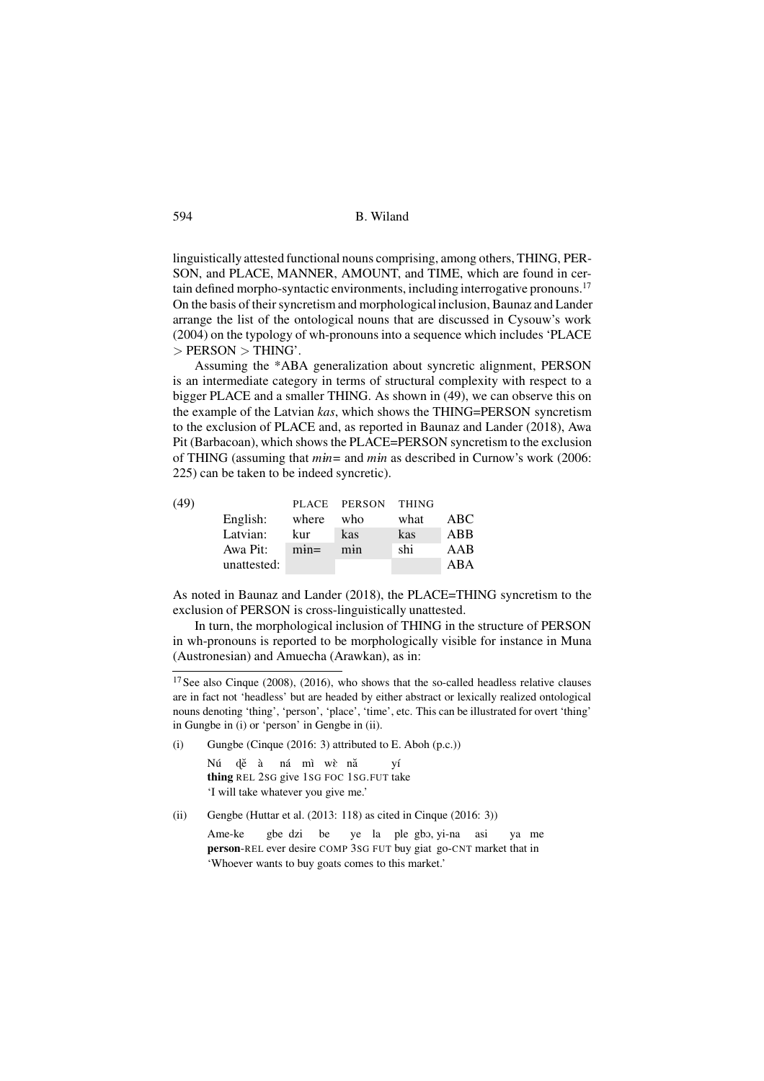linguistically attested functional nouns comprising, among others, THING, PER-SON, and PLACE, MANNER, AMOUNT, and TIME, which are found in certain defined morpho-syntactic environments, including interrogative pronouns.<sup>17</sup> On the basis of their syncretism and morphological inclusion, Baunaz and Lander arrange the list of the ontological nouns that are discussed in Cysouw's work (2004) on the typology of wh-pronouns into a sequence which includes 'PLACE  $>$  PERSON  $>$  THING'.

Assuming the \*ABA generalization about syncretic alignment, PERSON is an intermediate category in terms of structural complexity with respect to a bigger PLACE and a smaller THING. As shown in (49), we can observe this on the example of the Latvian *kas*, which shows the THING=PERSON syncretism to the exclusion of PLACE and, as reported in Baunaz and Lander (2018), Awa Pit (Barbacoan), which shows the PLACE=PERSON syncretism to the exclusion of THING (assuming that *m*1*n=* and *m*1*n* as described in Curnow's work (2006: 225) can be taken to be indeed syncretic).

| (49) |             |         | PLACE PERSON | <b>THING</b> |     |
|------|-------------|---------|--------------|--------------|-----|
|      | English:    | where   | who          | what         | ABC |
|      | Latvian:    | kur     | kas          | kas          | ABB |
|      | Awa Pit:    | $min =$ | min          | shi          | AAB |
|      | unattested: |         |              |              | ABA |
|      |             |         |              |              |     |

As noted in Baunaz and Lander (2018), the PLACE=THING syncretism to the exclusion of PERSON is cross-linguistically unattested.

In turn, the morphological inclusion of THING in the structure of PERSON in wh-pronouns is reported to be morphologically visible for instance in Muna (Austronesian) and Amuecha (Arawkan), as in:

(i) Gungbe (Cinque (2016: 3) attributed to E. Aboh (p.c.))

Nú thing REL 2SG give 1SG FOC 1SG.FUT take dĕ à ná mì wè nă yí 'I will take whatever you give me.'

(ii) Gengbe (Huttar et al.  $(2013: 118)$  as cited in Cinque  $(2016: 3)$ )

Ame-ke person-REL ever desire COMP 3SG FUT buy giat go-CNT market that in gbe dzi be ye la ple gbo, yi-na asi ya me 'Whoever wants to buy goats comes to this market.'

<sup>&</sup>lt;sup>17</sup> See also Cinque (2008), (2016), who shows that the so-called headless relative clauses are in fact not 'headless' but are headed by either abstract or lexically realized ontological nouns denoting 'thing', 'person', 'place', 'time', etc. This can be illustrated for overt 'thing' in Gungbe in (i) or 'person' in Gengbe in (ii).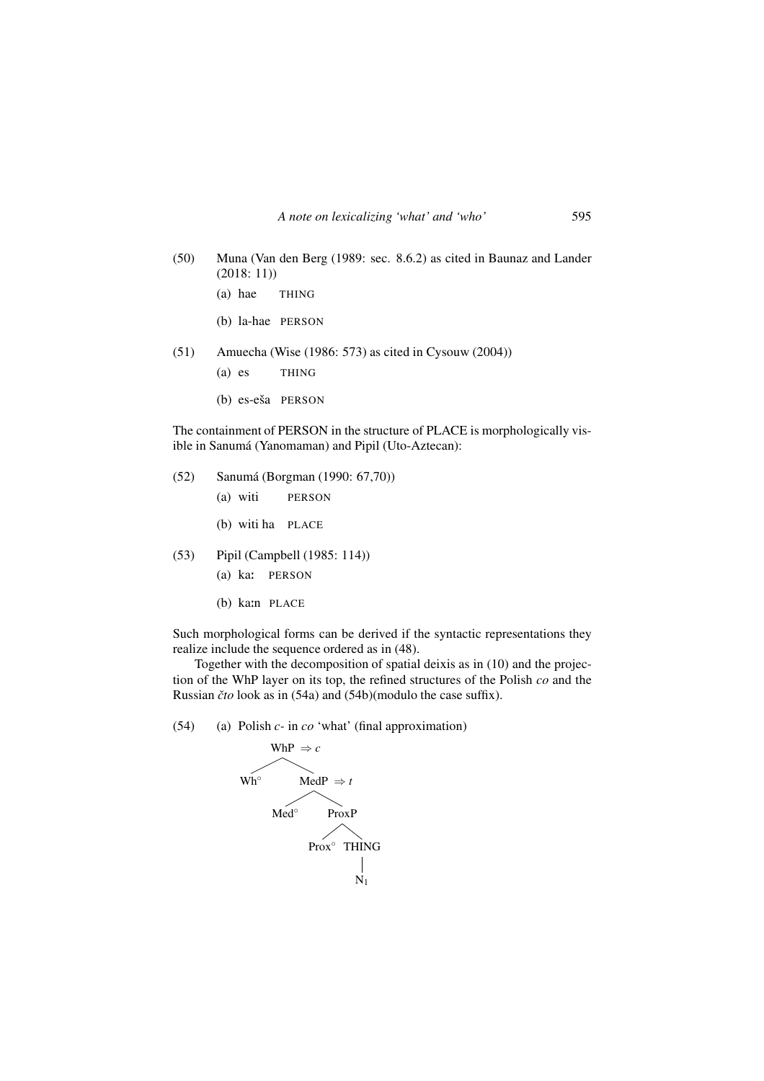- (50) Muna (Van den Berg (1989: sec. 8.6.2) as cited in Baunaz and Lander (2018: 11))
	- (a) hae THING
	- (b) la-hae PERSON
- (51) Amuecha (Wise (1986: 573) as cited in Cysouw (2004))
	- (a) es THING
	- (b) es-eša PERSON

The containment of PERSON in the structure of PLACE is morphologically visible in Sanumá (Yanomaman) and Pipil (Uto-Aztecan):

- (52) Sanumá (Borgman (1990: 67,70))
	- (a) witi PERSON
	- (b) witi ha PLACE
- (53) Pipil (Campbell (1985: 114))
	- (a) ka: PERSON
	- (b) ka:n PLACE

Such morphological forms can be derived if the syntactic representations they realize include the sequence ordered as in (48).

Together with the decomposition of spatial deixis as in (10) and the projection of the WhP layer on its top, the refined structures of the Polish *co* and the Russian *ˇcto* look as in (54a) and (54b)(modulo the case suffix).

(54) (a) Polish *c-* in *co* 'what' (final approximation)

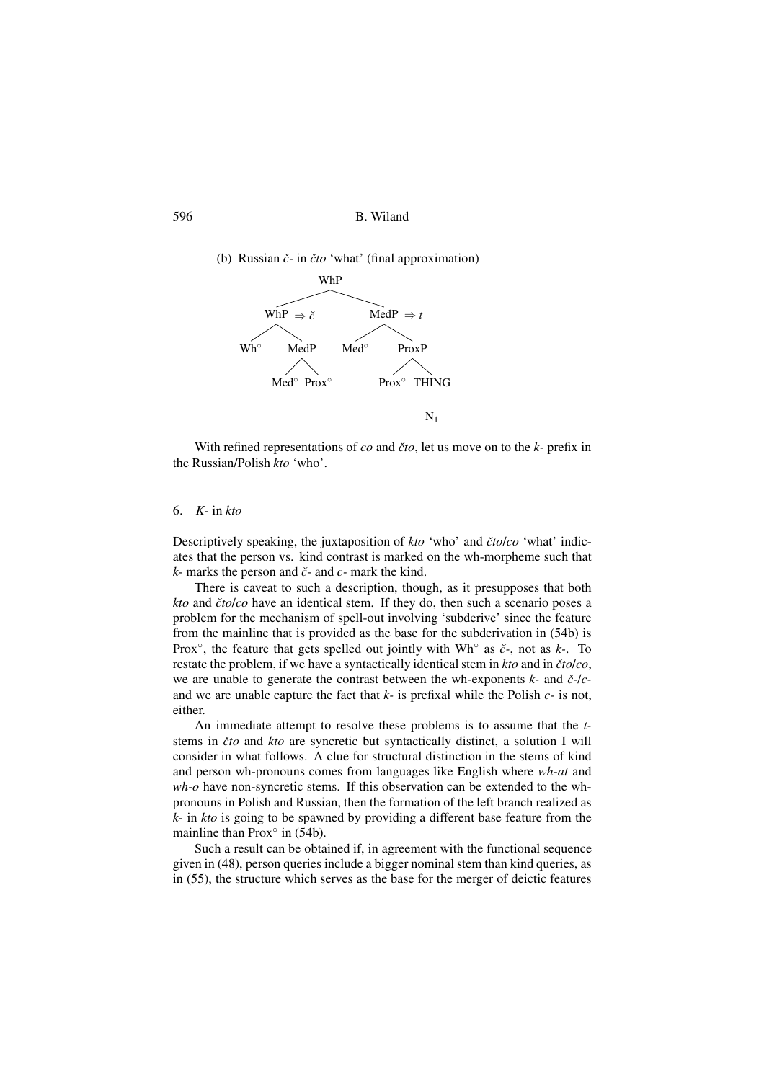596 B. Wiland

(b) Russian *ˇc-* in *ˇcto* 'what' (final approximation)



With refined representations of *co* and *ˇcto*, let us move on to the *k-* prefix in the Russian/Polish *kto* 'who'.

#### 6. *K-* in *kto*

Descriptively speaking, the juxtaposition of *kto* 'who' and *ˇcto*/*co* 'what' indicates that the person vs. kind contrast is marked on the wh-morpheme such that *k-* marks the person and *ˇc*- and *c-* mark the kind.

There is caveat to such a description, though, as it presupposes that both *kto* and *ˇcto*/*co* have an identical stem. If they do, then such a scenario poses a problem for the mechanism of spell-out involving 'subderive' since the feature from the mainline that is provided as the base for the subderivation in (54b) is Prox◦ , the feature that gets spelled out jointly with Wh◦ as *ˇc-*, not as *k-*. To restate the problem, if we have a syntactically identical stem in *kto* and in *ˇcto*/*co*, we are unable to generate the contrast between the wh-exponents *k-* and *ˇc-*/*c*and we are unable capture the fact that *k-* is prefixal while the Polish *c-* is not, either.

An immediate attempt to resolve these problems is to assume that the *t*stems in *ˇcto* and *kto* are syncretic but syntactically distinct, a solution I will consider in what follows. A clue for structural distinction in the stems of kind and person wh-pronouns comes from languages like English where *wh-at* and *wh-o* have non-syncretic stems. If this observation can be extended to the whpronouns in Polish and Russian, then the formation of the left branch realized as *k-* in *kto* is going to be spawned by providing a different base feature from the mainline than Prox $\degree$  in (54b).

Such a result can be obtained if, in agreement with the functional sequence given in (48), person queries include a bigger nominal stem than kind queries, as in (55), the structure which serves as the base for the merger of deictic features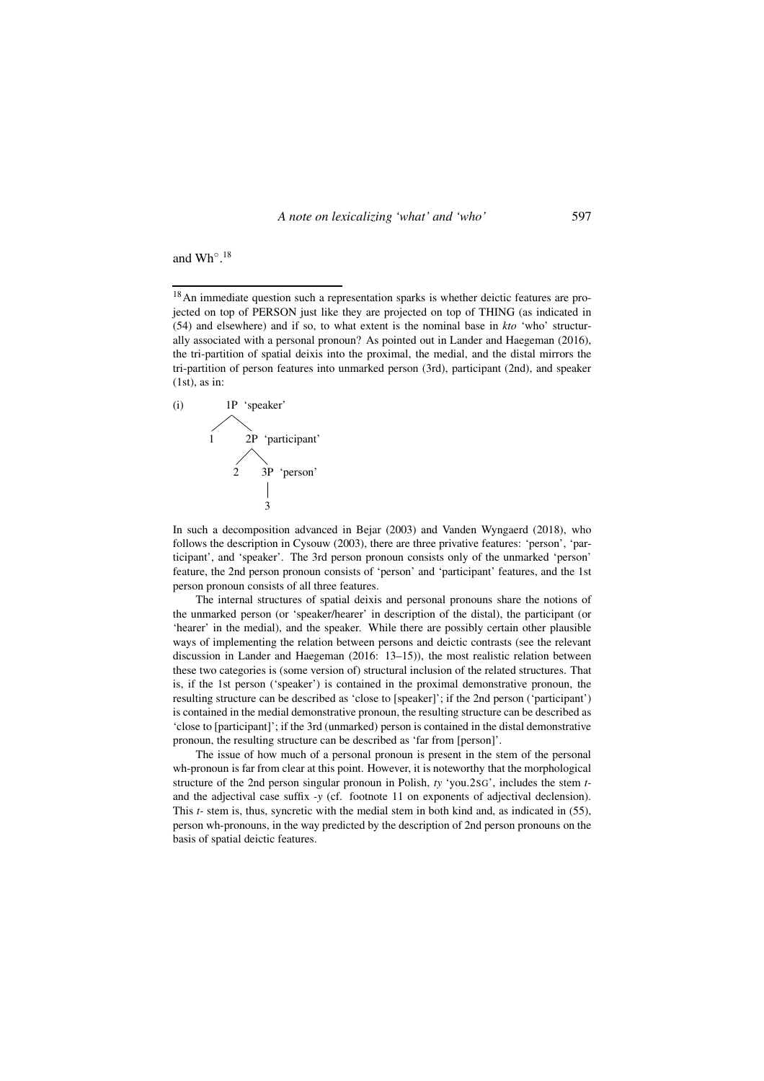and Wh◦ . 18

<sup>18</sup>An immediate question such a representation sparks is whether deictic features are projected on top of PERSON just like they are projected on top of THING (as indicated in (54) and elsewhere) and if so, to what extent is the nominal base in *kto* 'who' structurally associated with a personal pronoun? As pointed out in Lander and Haegeman (2016), the tri-partition of spatial deixis into the proximal, the medial, and the distal mirrors the tri-partition of person features into unmarked person (3rd), participant (2nd), and speaker  $(1st)$ , as in:



In such a decomposition advanced in Bejar (2003) and Vanden Wyngaerd (2018), who follows the description in Cysouw (2003), there are three privative features: 'person', 'participant', and 'speaker'. The 3rd person pronoun consists only of the unmarked 'person' feature, the 2nd person pronoun consists of 'person' and 'participant' features, and the 1st person pronoun consists of all three features.

The internal structures of spatial deixis and personal pronouns share the notions of the unmarked person (or 'speaker/hearer' in description of the distal), the participant (or 'hearer' in the medial), and the speaker. While there are possibly certain other plausible ways of implementing the relation between persons and deictic contrasts (see the relevant discussion in Lander and Haegeman (2016: 13–15)), the most realistic relation between these two categories is (some version of) structural inclusion of the related structures. That is, if the 1st person ('speaker') is contained in the proximal demonstrative pronoun, the resulting structure can be described as 'close to [speaker]'; if the 2nd person ('participant') is contained in the medial demonstrative pronoun, the resulting structure can be described as 'close to [participant]'; if the 3rd (unmarked) person is contained in the distal demonstrative pronoun, the resulting structure can be described as 'far from [person]'.

The issue of how much of a personal pronoun is present in the stem of the personal wh-pronoun is far from clear at this point. However, it is noteworthy that the morphological structure of the 2nd person singular pronoun in Polish, *ty* 'you.2SG', includes the stem *t*and the adjectival case suffix *-y* (cf. footnote 11 on exponents of adjectival declension). This *t-* stem is, thus, syncretic with the medial stem in both kind and, as indicated in (55), person wh-pronouns, in the way predicted by the description of 2nd person pronouns on the basis of spatial deictic features.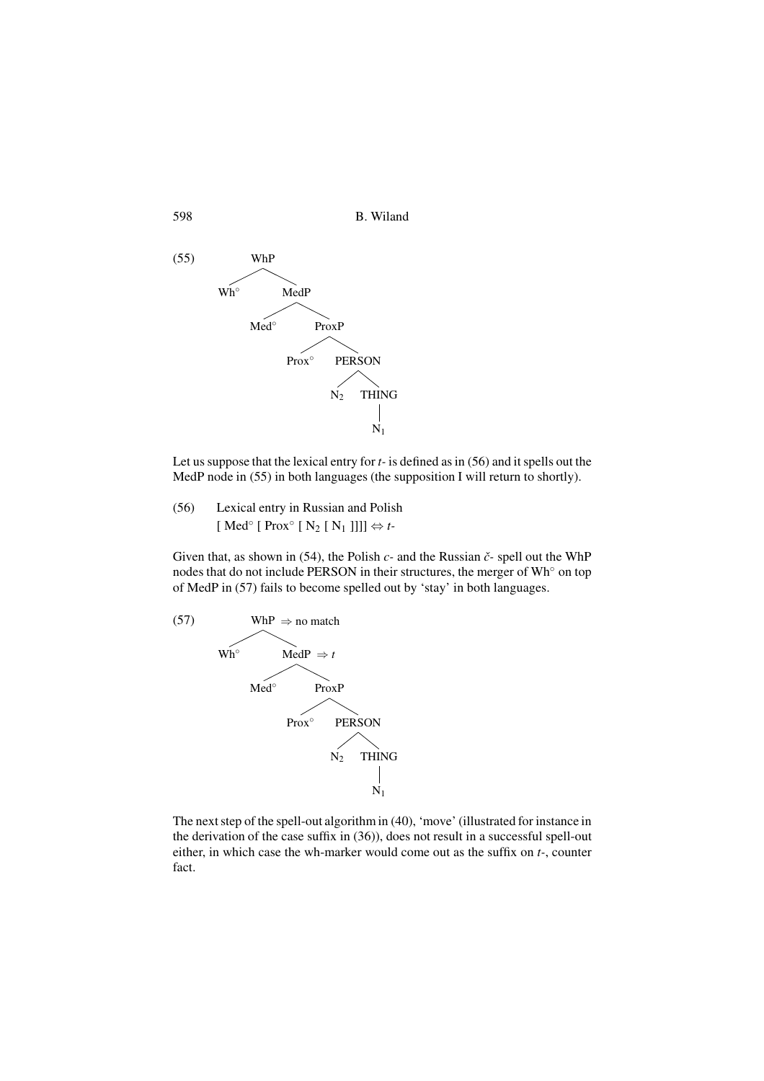

Let us suppose that the lexical entry for *t-* is defined as in (56) and it spells out the MedP node in (55) in both languages (the supposition I will return to shortly).

(56) Lexical entry in Russian and Polish  $[ Med<sup>°</sup> [ Prox<sup>°</sup> [ N<sub>2</sub> [ N<sub>1</sub> ]]] ]$   $\Leftrightarrow t$ -

Given that, as shown in (54), the Polish *c-* and the Russian *ˇc-* spell out the WhP nodes that do not include PERSON in their structures, the merger of Wh<sup>∘</sup> on top of MedP in (57) fails to become spelled out by 'stay' in both languages.



The next step of the spell-out algorithm in (40), 'move' (illustrated for instance in the derivation of the case suffix in (36)), does not result in a successful spell-out either, in which case the wh-marker would come out as the suffix on *t-*, counter fact.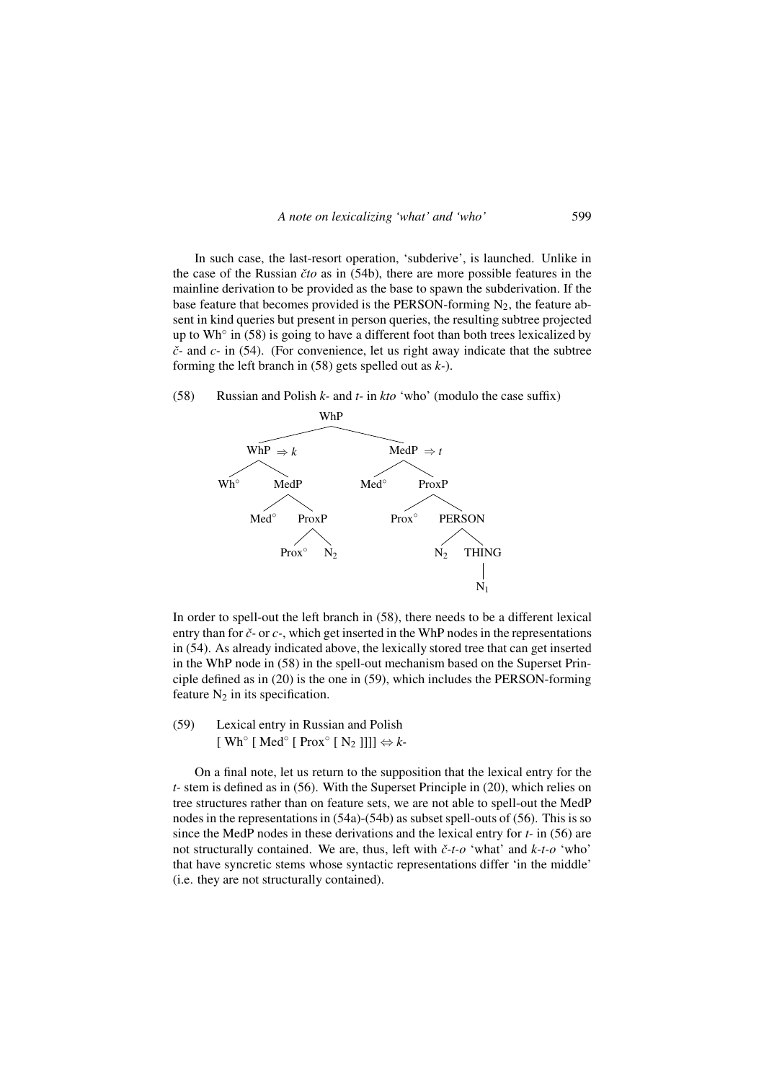In such case, the last-resort operation, 'subderive', is launched. Unlike in the case of the Russian *ˇcto* as in (54b), there are more possible features in the mainline derivation to be provided as the base to spawn the subderivation. If the base feature that becomes provided is the PERSON-forming  $N_2$ , the feature absent in kind queries but present in person queries, the resulting subtree projected up to Wh° in (58) is going to have a different foot than both trees lexicalized by *ˇc-* and *c-* in (54). (For convenience, let us right away indicate that the subtree forming the left branch in (58) gets spelled out as *k-*).

#### (58) Russian and Polish *k-* and *t-* in *kto* 'who' (modulo the case suffix)



In order to spell-out the left branch in (58), there needs to be a different lexical entry than for *ˇc-* or *c-*, which get inserted in the WhP nodes in the representations in (54). As already indicated above, the lexically stored tree that can get inserted in the WhP node in (58) in the spell-out mechanism based on the Superset Principle defined as in (20) is the one in (59), which includes the PERSON-forming feature  $N_2$  in its specification.

(59) Lexical entry in Russian and Polish  $[Wh^{\circ} [Med^{\circ} [Prox^{\circ} [N_2 ]]]] \Leftrightarrow k$ -

On a final note, let us return to the supposition that the lexical entry for the *t-* stem is defined as in (56). With the Superset Principle in (20), which relies on tree structures rather than on feature sets, we are not able to spell-out the MedP nodes in the representations in (54a)-(54b) as subset spell-outs of (56). This is so since the MedP nodes in these derivations and the lexical entry for *t-* in (56) are not structurally contained. We are, thus, left with *ˇc-t-o* 'what' and *k-t-o* 'who' that have syncretic stems whose syntactic representations differ 'in the middle' (i.e. they are not structurally contained).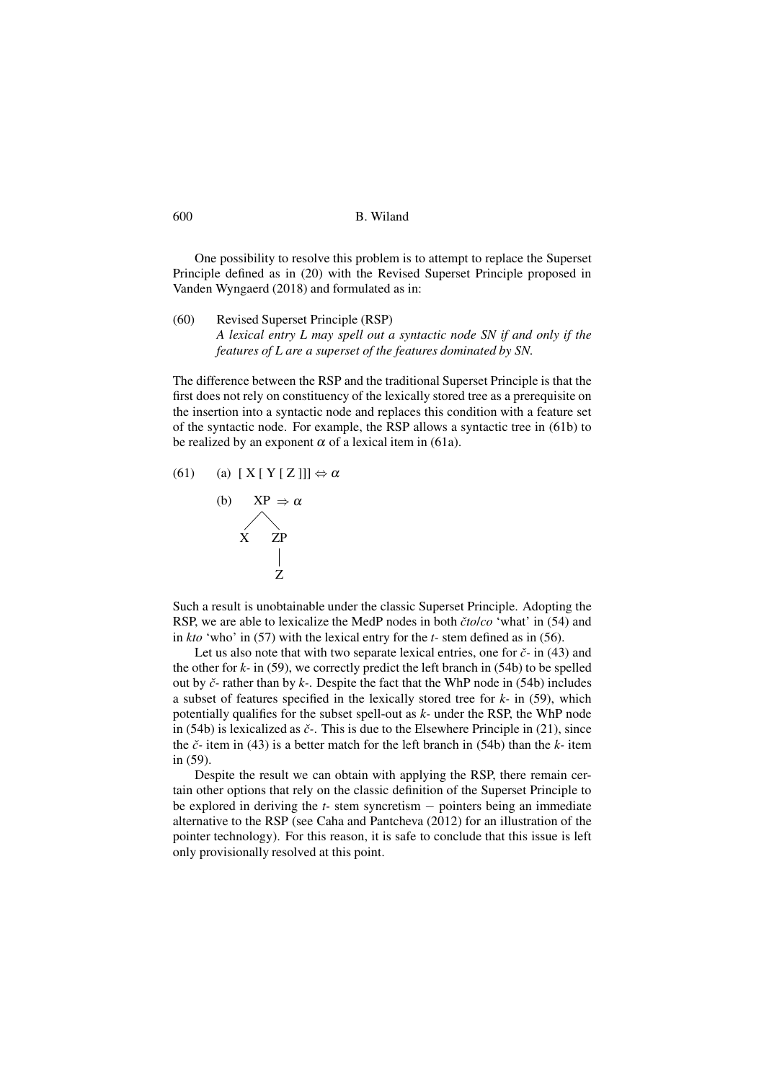600 B. Wiland

One possibility to resolve this problem is to attempt to replace the Superset Principle defined as in (20) with the Revised Superset Principle proposed in Vanden Wyngaerd (2018) and formulated as in:

(60) Revised Superset Principle (RSP) *A lexical entry L may spell out a syntactic node SN if and only if the features of L are a superset of the features dominated by SN.*

The difference between the RSP and the traditional Superset Principle is that the first does not rely on constituency of the lexically stored tree as a prerequisite on the insertion into a syntactic node and replaces this condition with a feature set of the syntactic node. For example, the RSP allows a syntactic tree in (61b) to be realized by an exponent  $\alpha$  of a lexical item in (61a).

(61) (a)  $[X [ Y [ Z ]]] \Leftrightarrow \alpha$ 



Such a result is unobtainable under the classic Superset Principle. Adopting the RSP, we are able to lexicalize the MedP nodes in both *ˇcto*/*co* 'what' in (54) and in *kto* 'who' in (57) with the lexical entry for the *t-* stem defined as in (56).

Let us also note that with two separate lexical entries, one for *ˇc-* in (43) and the other for  $k$ - in (59), we correctly predict the left branch in (54b) to be spelled out by *ˇc-* rather than by *k-*. Despite the fact that the WhP node in (54b) includes a subset of features specified in the lexically stored tree for *k-* in (59), which potentially qualifies for the subset spell-out as *k-* under the RSP, the WhP node in (54b) is lexicalized as *ˇc-*. This is due to the Elsewhere Principle in (21), since the *ˇc-* item in (43) is a better match for the left branch in (54b) than the *k-* item in (59).

Despite the result we can obtain with applying the RSP, there remain certain other options that rely on the classic definition of the Superset Principle to be explored in deriving the *t-* stem syncretism − pointers being an immediate alternative to the RSP (see Caha and Pantcheva (2012) for an illustration of the pointer technology). For this reason, it is safe to conclude that this issue is left only provisionally resolved at this point.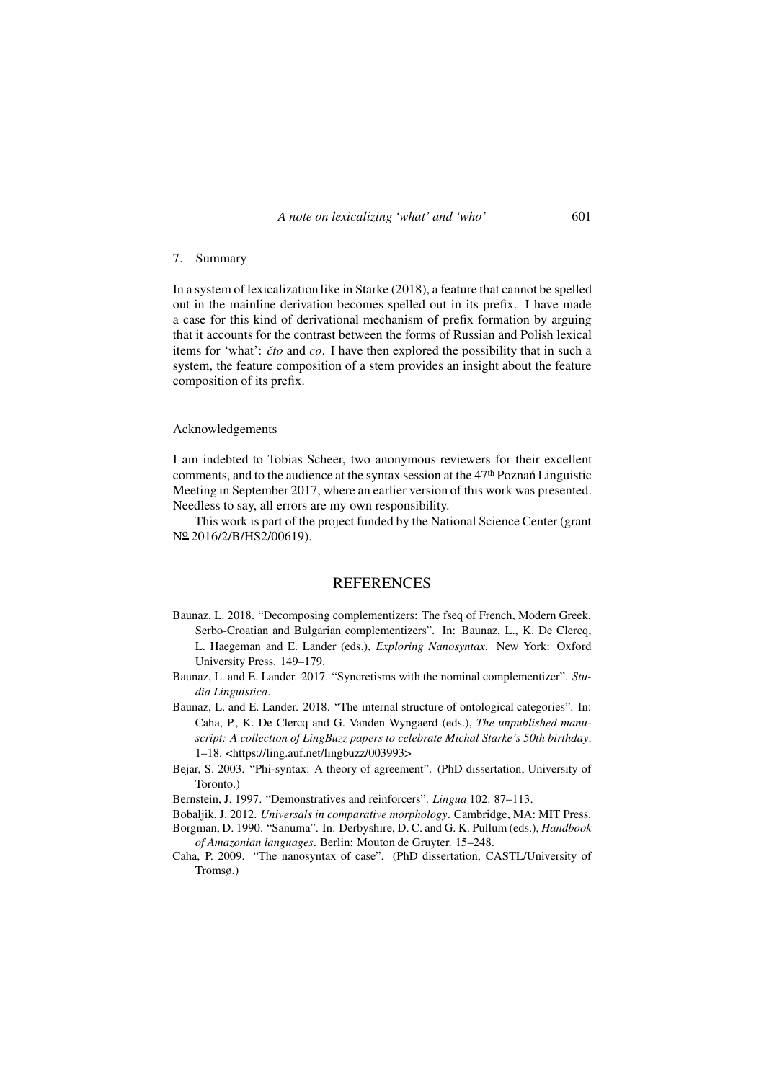## 7. Summary

In a system of lexicalization like in Starke (2018), a feature that cannot be spelled out in the mainline derivation becomes spelled out in its prefix. I have made a case for this kind of derivational mechanism of prefix formation by arguing that it accounts for the contrast between the forms of Russian and Polish lexical items for 'what': *ˇcto* and *co*. I have then explored the possibility that in such a system, the feature composition of a stem provides an insight about the feature composition of its prefix.

#### Acknowledgements

I am indebted to Tobias Scheer, two anonymous reviewers for their excellent comments, and to the audience at the syntax session at the 47th Poznan Linguistic ´ Meeting in September 2017, where an earlier version of this work was presented. Needless to say, all errors are my own responsibility.

This work is part of the project funded by the National Science Center (grant N<sup>o</sup> 2016/2/B/HS2/00619).

## **REFERENCES**

- Baunaz, L. 2018. "Decomposing complementizers: The fseq of French, Modern Greek, Serbo-Croatian and Bulgarian complementizers". In: Baunaz, L., K. De Clercq, L. Haegeman and E. Lander (eds.), *Exploring Nanosyntax*. New York: Oxford University Press. 149–179.
- Baunaz, L. and E. Lander. 2017. "Syncretisms with the nominal complementizer". *Studia Linguistica*.
- Baunaz, L. and E. Lander. 2018. "The internal structure of ontological categories". In: Caha, P., K. De Clercq and G. Vanden Wyngaerd (eds.), *The unpublished manuscript: A collection of LingBuzz papers to celebrate Michal Starke's 50th birthday*. 1–18. [<h](https://ling.auf.net/lingbuzz/003993)ttps://ling.auf.net/lingbuzz/003993>
- Bejar, S. 2003. "Phi-syntax: A theory of agreement". (PhD dissertation, University of Toronto.)
- Bernstein, J. 1997. "Demonstratives and reinforcers". *Lingua* 102. 87–113.
- Bobaljik, J. 2012. *Universals in comparative morphology*. Cambridge, MA: MIT Press.
- Borgman, D. 1990. "Sanuma". In: Derbyshire, D. C. and G. K. Pullum (eds.), *Handbook of Amazonian languages*. Berlin: Mouton de Gruyter. 15–248.
- Caha, P. 2009. "The nanosyntax of case". (PhD dissertation, CASTL/University of Tromsø.)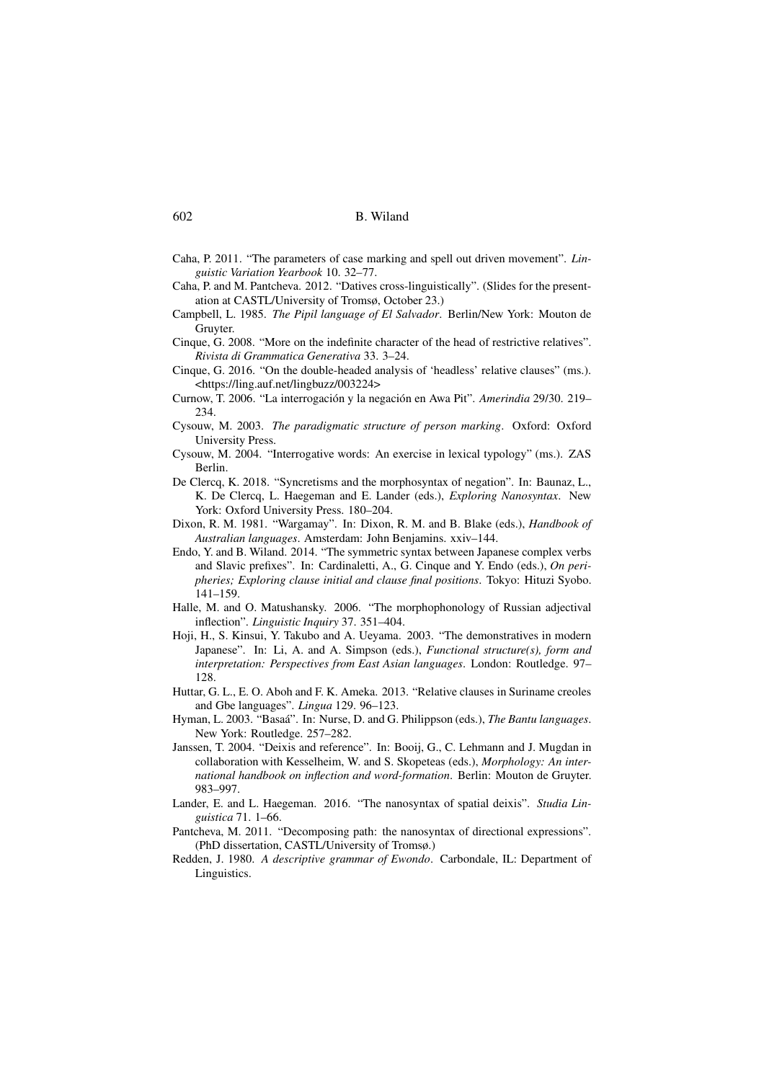- Caha, P. 2011. "The parameters of case marking and spell out driven movement". *Linguistic Variation Yearbook* 10. 32–77.
- Caha, P. and M. Pantcheva. 2012. "Datives cross-linguistically". (Slides for the presentation at CASTL/University of Tromsø, October 23.)
- Campbell, L. 1985. *The Pipil language of El Salvador*. Berlin/New York: Mouton de Gruyter.
- Cinque, G. 2008. "More on the indefinite character of the head of restrictive relatives". *Rivista di Grammatica Generativa* 33. 3–24.
- Cinque, G. 2016. "On the double-headed analysis of 'headless' relative clauses" (ms.). [<https://ling.auf.net/lingbuzz/003224>](https://ling.auf.net/lingbuzz/003224)
- Curnow, T. 2006. "La interrogación y la negación en Awa Pit". *Amerindia* 29/30. 219– 234.
- Cysouw, M. 2003. *The paradigmatic structure of person marking*. Oxford: Oxford University Press.
- Cysouw, M. 2004. "Interrogative words: An exercise in lexical typology" (ms.). ZAS Berlin.
- De Clercq, K. 2018. "Syncretisms and the morphosyntax of negation". In: Baunaz, L., K. De Clercq, L. Haegeman and E. Lander (eds.), *Exploring Nanosyntax*. New York: Oxford University Press. 180–204.
- Dixon, R. M. 1981. "Wargamay". In: Dixon, R. M. and B. Blake (eds.), *Handbook of Australian languages*. Amsterdam: John Benjamins. xxiv–144.
- Endo, Y. and B. Wiland. 2014. "The symmetric syntax between Japanese complex verbs and Slavic prefixes". In: Cardinaletti, A., G. Cinque and Y. Endo (eds.), *On peripheries; Exploring clause initial and clause final positions*. Tokyo: Hituzi Syobo. 141–159.
- Halle, M. and O. Matushansky. 2006. "The morphophonology of Russian adjectival inflection". *Linguistic Inquiry* 37. 351–404.
- Hoji, H., S. Kinsui, Y. Takubo and A. Ueyama. 2003. "The demonstratives in modern Japanese". In: Li, A. and A. Simpson (eds.), *Functional structure(s), form and interpretation: Perspectives from East Asian languages*. London: Routledge. 97– 128.
- Huttar, G. L., E. O. Aboh and F. K. Ameka. 2013. "Relative clauses in Suriname creoles and Gbe languages". *Lingua* 129. 96–123.
- Hyman, L. 2003. "Basaá". In: Nurse, D. and G. Philippson (eds.), *The Bantu languages*. New York: Routledge. 257–282.
- Janssen, T. 2004. "Deixis and reference". In: Booij, G., C. Lehmann and J. Mugdan in collaboration with Kesselheim, W. and S. Skopeteas (eds.), *Morphology: An international handbook on inflection and word-formation*. Berlin: Mouton de Gruyter. 983–997.
- Lander, E. and L. Haegeman. 2016. "The nanosyntax of spatial deixis". *Studia Linguistica* 71. 1–66.
- Pantcheva, M. 2011. "Decomposing path: the nanosyntax of directional expressions". (PhD dissertation, CASTL/University of Tromsø.)
- Redden, J. 1980. *A descriptive grammar of Ewondo*. Carbondale, IL: Department of Linguistics.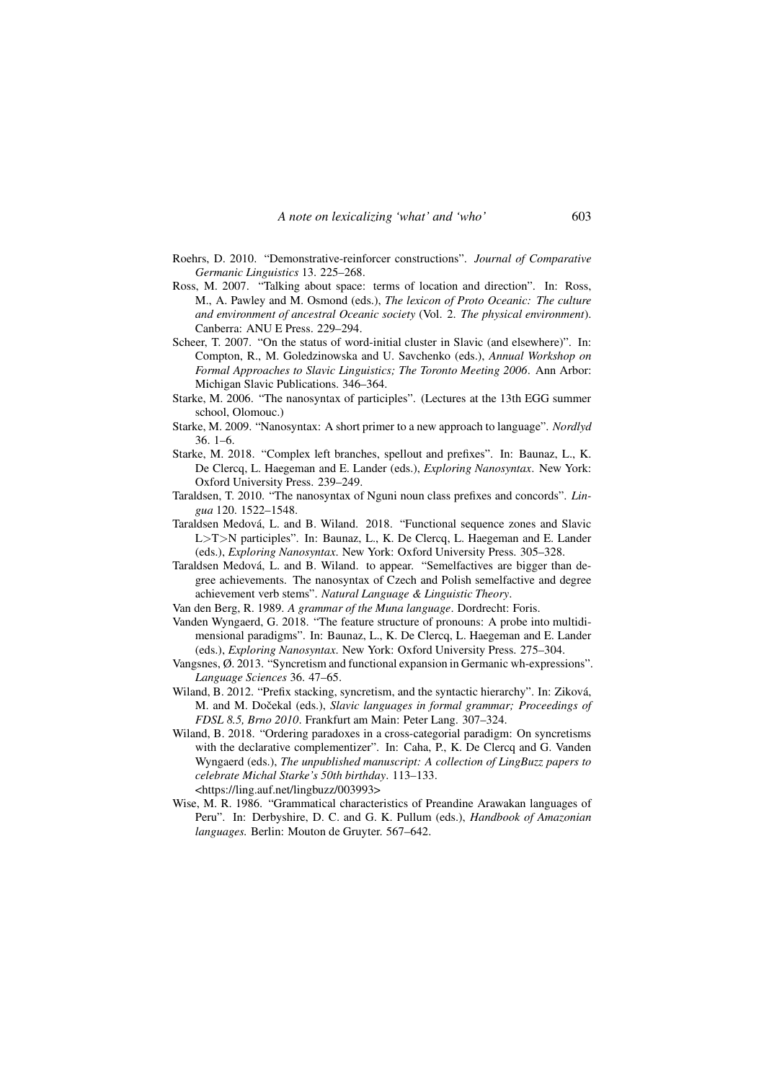- Roehrs, D. 2010. "Demonstrative-reinforcer constructions". *Journal of Comparative Germanic Linguistics* 13. 225–268.
- Ross, M. 2007. "Talking about space: terms of location and direction". In: Ross, M., A. Pawley and M. Osmond (eds.), *The lexicon of Proto Oceanic: The culture and environment of ancestral Oceanic society* (Vol. 2. *The physical environment*). Canberra: ANU E Press. 229–294.
- Scheer, T. 2007. "On the status of word-initial cluster in Slavic (and elsewhere)". In: Compton, R., M. Goledzinowska and U. Savchenko (eds.), *Annual Workshop on Formal Approaches to Slavic Linguistics; The Toronto Meeting 2006*. Ann Arbor: Michigan Slavic Publications. 346–364.
- Starke, M. 2006. "The nanosyntax of participles". (Lectures at the 13th EGG summer school, Olomouc.)
- Starke, M. 2009. "Nanosyntax: A short primer to a new approach to language". *Nordlyd* 36. 1–6.
- Starke, M. 2018. "Complex left branches, spellout and prefixes". In: Baunaz, L., K. De Clercq, L. Haegeman and E. Lander (eds.), *Exploring Nanosyntax*. New York: Oxford University Press. 239–249.
- Taraldsen, T. 2010. "The nanosyntax of Nguni noun class prefixes and concords". *Lingua* 120. 1522–1548.
- Taraldsen Medová, L. and B. Wiland. 2018. "Functional sequence zones and Slavic L>T>N participles". In: Baunaz, L., K. De Clercq, L. Haegeman and E. Lander (eds.), *Exploring Nanosyntax*. New York: Oxford University Press. 305–328.
- Taraldsen Medová, L. and B. Wiland. to appear. "Semelfactives are bigger than degree achievements. The nanosyntax of Czech and Polish semelfactive and degree achievement verb stems". *Natural Language & Linguistic Theory*.
- Van den Berg, R. 1989. *A grammar of the Muna language*. Dordrecht: Foris.
- Vanden Wyngaerd, G. 2018. "The feature structure of pronouns: A probe into multidimensional paradigms". In: Baunaz, L., K. De Clercq, L. Haegeman and E. Lander (eds.), *Exploring Nanosyntax*. New York: Oxford University Press. 275–304.
- Vangsnes, Ø. 2013. "Syncretism and functional expansion in Germanic wh-expressions". *Language Sciences* 36. 47–65.
- Wiland, B. 2012. "Prefix stacking, syncretism, and the syntactic hierarchy". In: Ziková, M. and M. Dočekal (eds.), *Slavic languages in formal grammar; Proceedings of FDSL 8.5, Brno 2010*. Frankfurt am Main: Peter Lang. 307–324.
- Wiland, B. 2018. "Ordering paradoxes in a cross-categorial paradigm: On syncretisms with the declarative complementizer". In: Caha, P., K. De Clercq and G. Vanden Wyngaerd (eds.), *The unpublished manuscript: A collection of LingBuzz papers to celebrate Michal Starke's 50th birthday*. 113–133. [<h](https://ling.auf.net/lingbuzz/003993)ttps://ling.auf.net/lingbuzz/003993>
- Wise, M. R. 1986. "Grammatical characteristics of Preandine Arawakan languages of Peru". In: Derbyshire, D. C. and G. K. Pullum (eds.), *Handbook of Amazonian languages.* Berlin: Mouton de Gruyter. 567–642.